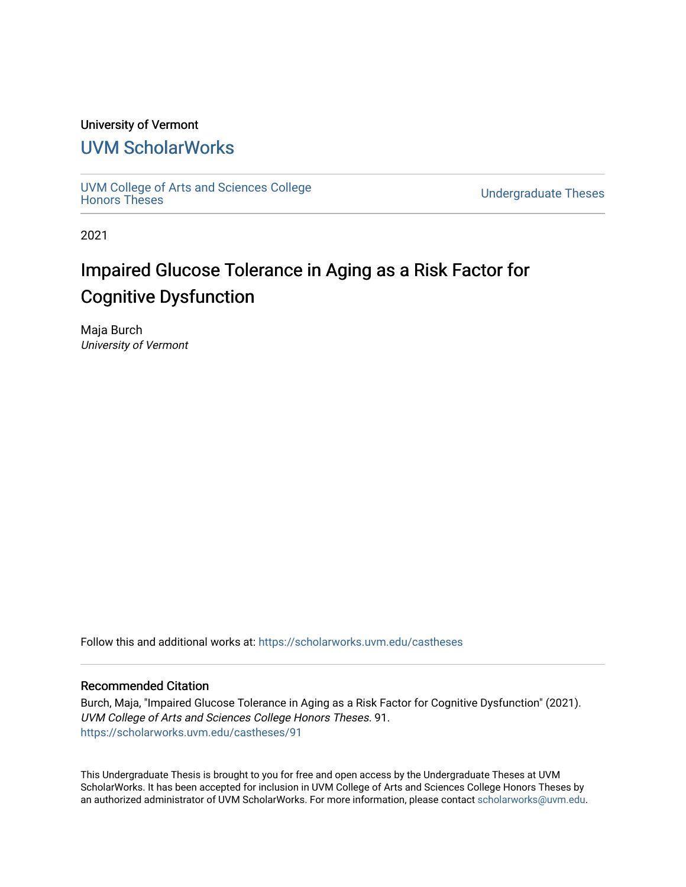### University of Vermont

## [UVM ScholarWorks](https://scholarworks.uvm.edu/)

[UVM College of Arts and Sciences College](https://scholarworks.uvm.edu/castheses)

**Undergraduate Theses** 

2021

# Impaired Glucose Tolerance in Aging as a Risk Factor for Cognitive Dysfunction

Maja Burch University of Vermont

Follow this and additional works at: [https://scholarworks.uvm.edu/castheses](https://scholarworks.uvm.edu/castheses?utm_source=scholarworks.uvm.edu%2Fcastheses%2F91&utm_medium=PDF&utm_campaign=PDFCoverPages)

#### Recommended Citation

Burch, Maja, "Impaired Glucose Tolerance in Aging as a Risk Factor for Cognitive Dysfunction" (2021). UVM College of Arts and Sciences College Honors Theses. 91. [https://scholarworks.uvm.edu/castheses/91](https://scholarworks.uvm.edu/castheses/91?utm_source=scholarworks.uvm.edu%2Fcastheses%2F91&utm_medium=PDF&utm_campaign=PDFCoverPages) 

This Undergraduate Thesis is brought to you for free and open access by the Undergraduate Theses at UVM ScholarWorks. It has been accepted for inclusion in UVM College of Arts and Sciences College Honors Theses by an authorized administrator of UVM ScholarWorks. For more information, please contact [scholarworks@uvm.edu.](mailto:scholarworks@uvm.edu)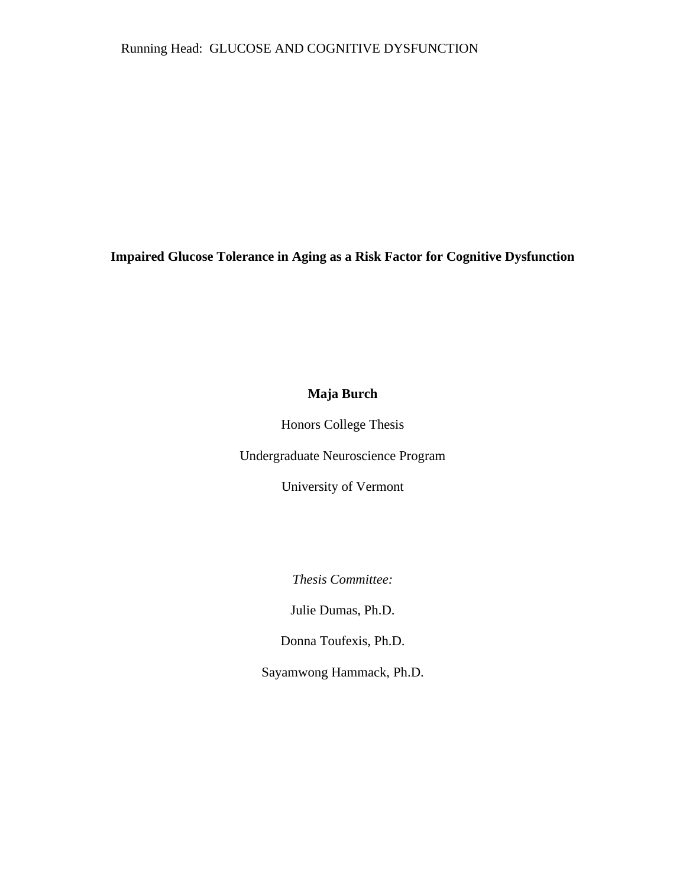Running Head: GLUCOSE AND COGNITIVE DYSFUNCTION

**Impaired Glucose Tolerance in Aging as a Risk Factor for Cognitive Dysfunction**

### **Maja Burch**

Honors College Thesis

Undergraduate Neuroscience Program

University of Vermont

*Thesis Committee:* 

Julie Dumas, Ph.D.

Donna Toufexis, Ph.D.

Sayamwong Hammack, Ph.D.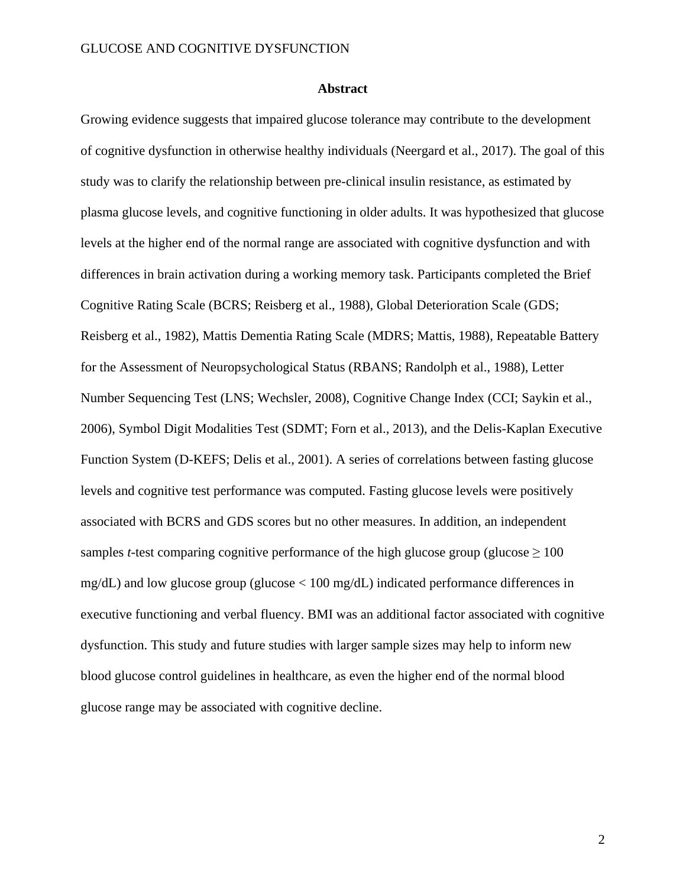#### **Abstract**

Growing evidence suggests that impaired glucose tolerance may contribute to the development of cognitive dysfunction in otherwise healthy individuals (Neergard et al., 2017). The goal of this study was to clarify the relationship between pre-clinical insulin resistance, as estimated by plasma glucose levels, and cognitive functioning in older adults. It was hypothesized that glucose levels at the higher end of the normal range are associated with cognitive dysfunction and with differences in brain activation during a working memory task. Participants completed the Brief Cognitive Rating Scale (BCRS; Reisberg et al., 1988), Global Deterioration Scale (GDS; Reisberg et al., 1982), Mattis Dementia Rating Scale (MDRS; Mattis, 1988), Repeatable Battery for the Assessment of Neuropsychological Status (RBANS; Randolph et al., 1988), Letter Number Sequencing Test (LNS; Wechsler, 2008), Cognitive Change Index (CCI; Saykin et al., 2006), Symbol Digit Modalities Test (SDMT; Forn et al., 2013), and the Delis-Kaplan Executive Function System (D-KEFS; Delis et al., 2001). A series of correlations between fasting glucose levels and cognitive test performance was computed. Fasting glucose levels were positively associated with BCRS and GDS scores but no other measures. In addition, an independent samples *t*-test comparing cognitive performance of the high glucose group (glucose  $\geq 100$ ) mg/dL) and low glucose group (glucose  $< 100$  mg/dL) indicated performance differences in executive functioning and verbal fluency. BMI was an additional factor associated with cognitive dysfunction. This study and future studies with larger sample sizes may help to inform new blood glucose control guidelines in healthcare, as even the higher end of the normal blood glucose range may be associated with cognitive decline.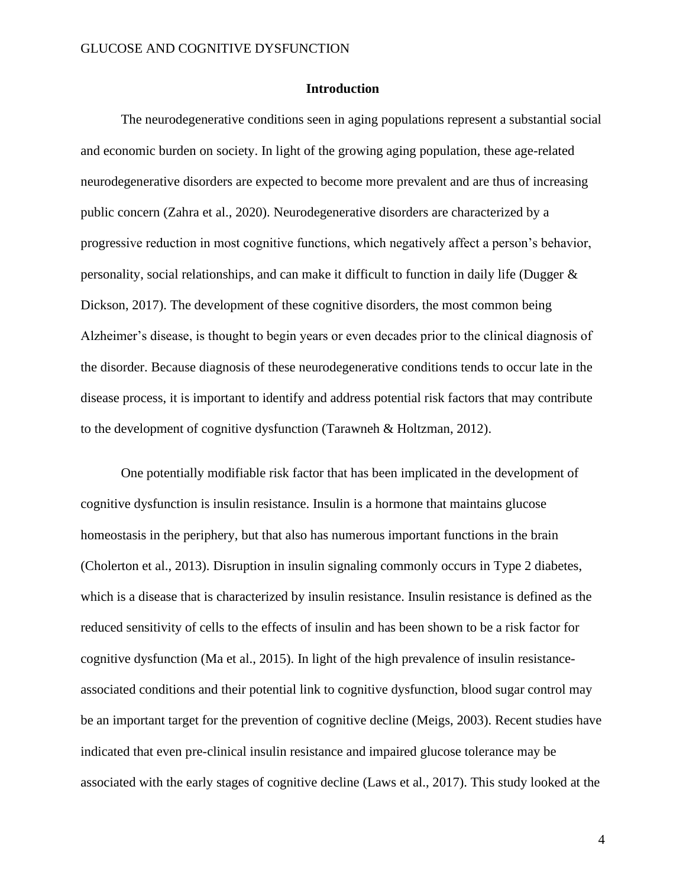#### **Introduction**

The neurodegenerative conditions seen in aging populations represent a substantial social and economic burden on society. In light of the growing aging population, these age-related neurodegenerative disorders are expected to become more prevalent and are thus of increasing public concern (Zahra et al., 2020). Neurodegenerative disorders are characterized by a progressive reduction in most cognitive functions, which negatively affect a person's behavior, personality, social relationships, and can make it difficult to function in daily life (Dugger & Dickson, 2017). The development of these cognitive disorders, the most common being Alzheimer's disease, is thought to begin years or even decades prior to the clinical diagnosis of the disorder. Because diagnosis of these neurodegenerative conditions tends to occur late in the disease process, it is important to identify and address potential risk factors that may contribute to the development of cognitive dysfunction (Tarawneh & Holtzman, 2012).

One potentially modifiable risk factor that has been implicated in the development of cognitive dysfunction is insulin resistance. Insulin is a hormone that maintains glucose homeostasis in the periphery, but that also has numerous important functions in the brain (Cholerton et al., 2013). Disruption in insulin signaling commonly occurs in Type 2 diabetes, which is a disease that is characterized by insulin resistance. Insulin resistance is defined as the reduced sensitivity of cells to the effects of insulin and has been shown to be a risk factor for cognitive dysfunction (Ma et al., 2015). In light of the high prevalence of insulin resistanceassociated conditions and their potential link to cognitive dysfunction, blood sugar control may be an important target for the prevention of cognitive decline (Meigs, 2003). Recent studies have indicated that even pre-clinical insulin resistance and impaired glucose tolerance may be associated with the early stages of cognitive decline (Laws et al., 2017). This study looked at the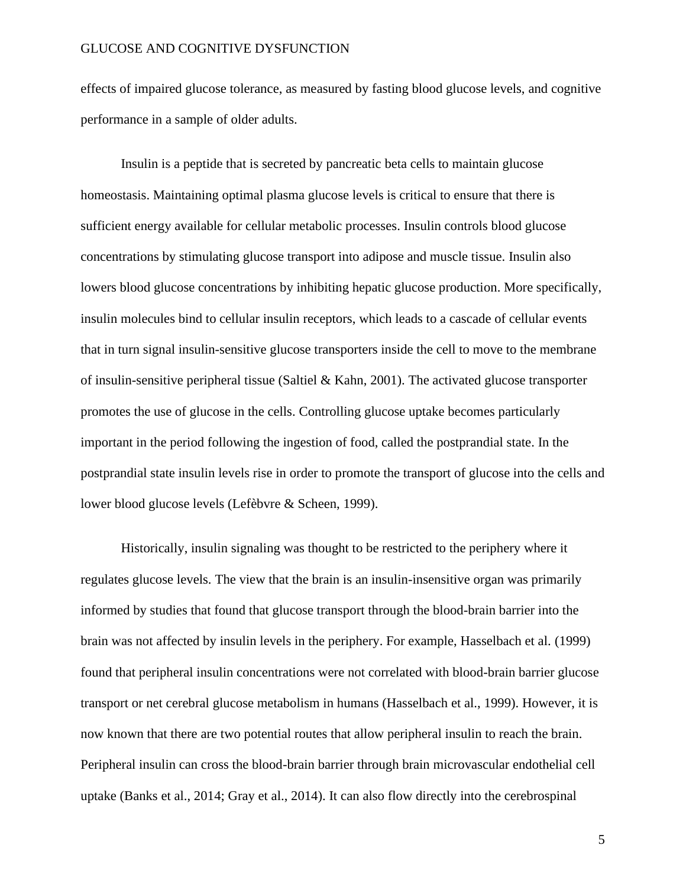effects of impaired glucose tolerance, as measured by fasting blood glucose levels, and cognitive performance in a sample of older adults.

Insulin is a peptide that is secreted by pancreatic beta cells to maintain glucose homeostasis. Maintaining optimal plasma glucose levels is critical to ensure that there is sufficient energy available for cellular metabolic processes. Insulin controls blood glucose concentrations by stimulating glucose transport into adipose and muscle tissue. Insulin also lowers blood glucose concentrations by inhibiting hepatic glucose production. More specifically, insulin molecules bind to cellular insulin receptors, which leads to a cascade of cellular events that in turn signal insulin-sensitive glucose transporters inside the cell to move to the membrane of insulin-sensitive peripheral tissue (Saltiel & Kahn, 2001). The activated glucose transporter promotes the use of glucose in the cells. Controlling glucose uptake becomes particularly important in the period following the ingestion of food, called the postprandial state. In the postprandial state insulin levels rise in order to promote the transport of glucose into the cells and lower blood glucose levels (Lefèbvre & Scheen, 1999).

Historically, insulin signaling was thought to be restricted to the periphery where it regulates glucose levels. The view that the brain is an insulin-insensitive organ was primarily informed by studies that found that glucose transport through the blood-brain barrier into the brain was not affected by insulin levels in the periphery. For example, Hasselbach et al. (1999) found that peripheral insulin concentrations were not correlated with blood-brain barrier glucose transport or net cerebral glucose metabolism in humans (Hasselbach et al., 1999). However, it is now known that there are two potential routes that allow peripheral insulin to reach the brain. Peripheral insulin can cross the blood-brain barrier through brain microvascular endothelial cell uptake (Banks et al., 2014; Gray et al., 2014). It can also flow directly into the cerebrospinal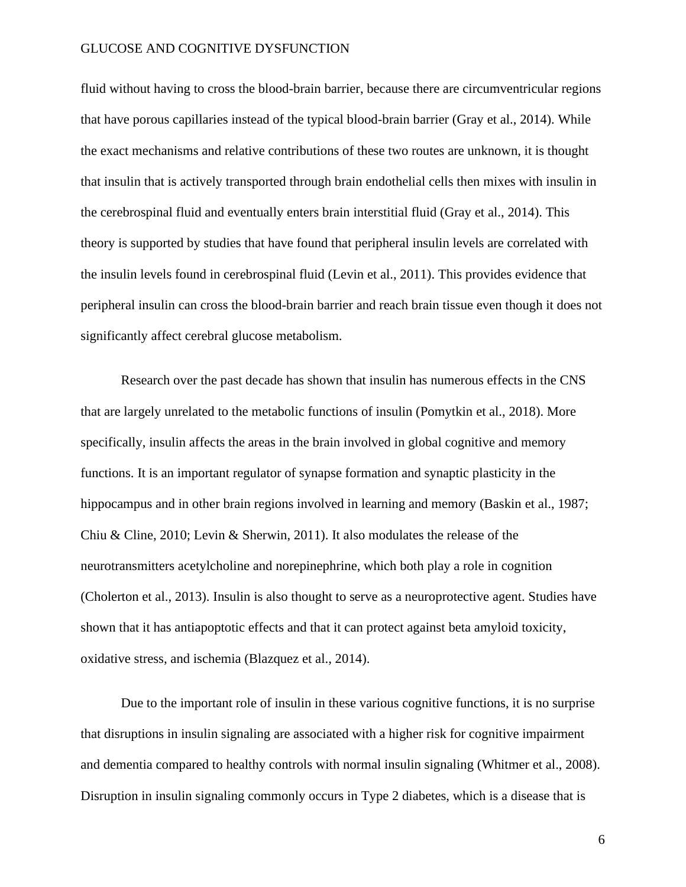fluid without having to cross the blood-brain barrier, because there are circumventricular regions that have porous capillaries instead of the typical blood-brain barrier (Gray et al., 2014). While the exact mechanisms and relative contributions of these two routes are unknown, it is thought that insulin that is actively transported through brain endothelial cells then mixes with insulin in the cerebrospinal fluid and eventually enters brain interstitial fluid (Gray et al., 2014). This theory is supported by studies that have found that peripheral insulin levels are correlated with the insulin levels found in cerebrospinal fluid (Levin et al., 2011). This provides evidence that peripheral insulin can cross the blood-brain barrier and reach brain tissue even though it does not significantly affect cerebral glucose metabolism.

Research over the past decade has shown that insulin has numerous effects in the CNS that are largely unrelated to the metabolic functions of insulin (Pomytkin et al., 2018). More specifically, insulin affects the areas in the brain involved in global cognitive and memory functions. It is an important regulator of synapse formation and synaptic plasticity in the hippocampus and in other brain regions involved in learning and memory (Baskin et al., 1987; Chiu & Cline, 2010; Levin & Sherwin, 2011). It also modulates the release of the neurotransmitters acetylcholine and norepinephrine, which both play a role in cognition (Cholerton et al., 2013). Insulin is also thought to serve as a neuroprotective agent. Studies have shown that it has antiapoptotic effects and that it can protect against beta amyloid toxicity, oxidative stress, and ischemia (Blazquez et al., 2014).

Due to the important role of insulin in these various cognitive functions, it is no surprise that disruptions in insulin signaling are associated with a higher risk for cognitive impairment and dementia compared to healthy controls with normal insulin signaling (Whitmer et al., 2008). Disruption in insulin signaling commonly occurs in Type 2 diabetes, which is a disease that is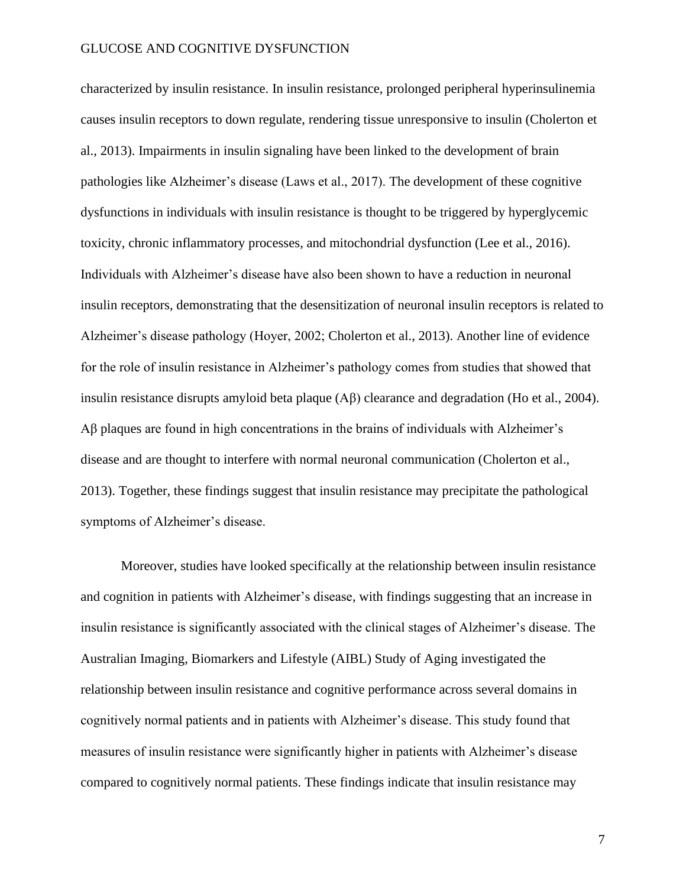characterized by insulin resistance. In insulin resistance, prolonged peripheral hyperinsulinemia causes insulin receptors to down regulate, rendering tissue unresponsive to insulin (Cholerton et al., 2013). Impairments in insulin signaling have been linked to the development of brain pathologies like Alzheimer's disease (Laws et al., 2017). The development of these cognitive dysfunctions in individuals with insulin resistance is thought to be triggered by hyperglycemic toxicity, chronic inflammatory processes, and mitochondrial dysfunction (Lee et al., 2016). Individuals with Alzheimer's disease have also been shown to have a reduction in neuronal insulin receptors, demonstrating that the desensitization of neuronal insulin receptors is related to Alzheimer's disease pathology (Hoyer, 2002; Cholerton et al., 2013). Another line of evidence for the role of insulin resistance in Alzheimer's pathology comes from studies that showed that insulin resistance disrupts amyloid beta plaque (Aβ) clearance and degradation (Ho et al., 2004). Aβ plaques are found in high concentrations in the brains of individuals with Alzheimer's disease and are thought to interfere with normal neuronal communication (Cholerton et al., 2013). Together, these findings suggest that insulin resistance may precipitate the pathological symptoms of Alzheimer's disease.

Moreover, studies have looked specifically at the relationship between insulin resistance and cognition in patients with Alzheimer's disease, with findings suggesting that an increase in insulin resistance is significantly associated with the clinical stages of Alzheimer's disease. The Australian Imaging, Biomarkers and Lifestyle (AIBL) Study of Aging investigated the relationship between insulin resistance and cognitive performance across several domains in cognitively normal patients and in patients with Alzheimer's disease. This study found that measures of insulin resistance were significantly higher in patients with Alzheimer's disease compared to cognitively normal patients. These findings indicate that insulin resistance may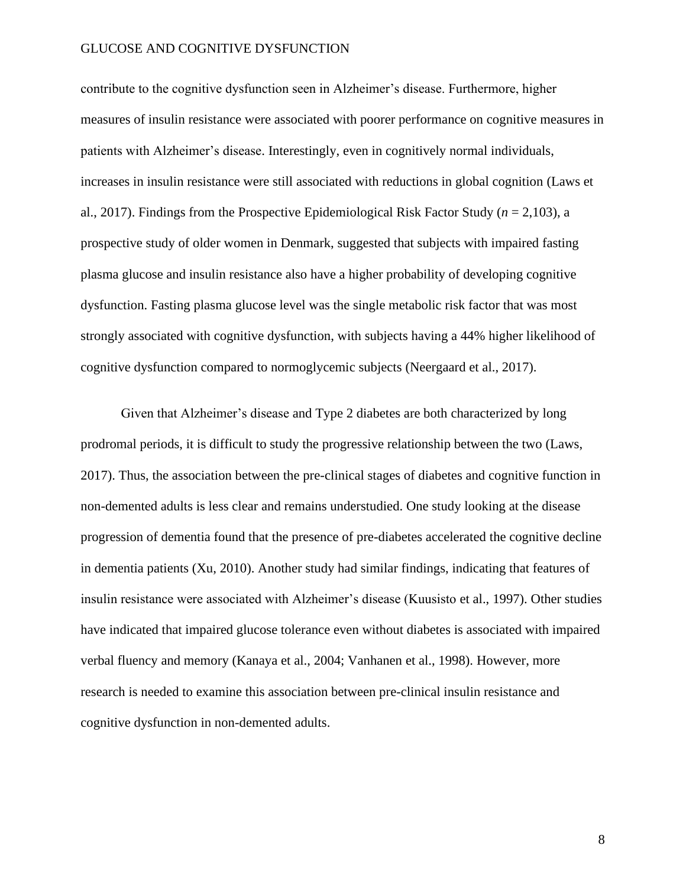contribute to the cognitive dysfunction seen in Alzheimer's disease. Furthermore, higher measures of insulin resistance were associated with poorer performance on cognitive measures in patients with Alzheimer's disease. Interestingly, even in cognitively normal individuals, increases in insulin resistance were still associated with reductions in global cognition (Laws et al., 2017). Findings from the Prospective Epidemiological Risk Factor Study (*n* = 2,103), a prospective study of older women in Denmark, suggested that subjects with impaired fasting plasma glucose and insulin resistance also have a higher probability of developing cognitive dysfunction. Fasting plasma glucose level was the single metabolic risk factor that was most strongly associated with cognitive dysfunction, with subjects having a 44% higher likelihood of cognitive dysfunction compared to normoglycemic subjects (Neergaard et al., 2017).

Given that Alzheimer's disease and Type 2 diabetes are both characterized by long prodromal periods, it is difficult to study the progressive relationship between the two (Laws, 2017). Thus, the association between the pre-clinical stages of diabetes and cognitive function in non-demented adults is less clear and remains understudied. One study looking at the disease progression of dementia found that the presence of pre-diabetes accelerated the cognitive decline in dementia patients (Xu, 2010). Another study had similar findings, indicating that features of insulin resistance were associated with Alzheimer's disease (Kuusisto et al., 1997). Other studies have indicated that impaired glucose tolerance even without diabetes is associated with impaired verbal fluency and memory (Kanaya et al., 2004; Vanhanen et al., 1998). However, more research is needed to examine this association between pre-clinical insulin resistance and cognitive dysfunction in non-demented adults.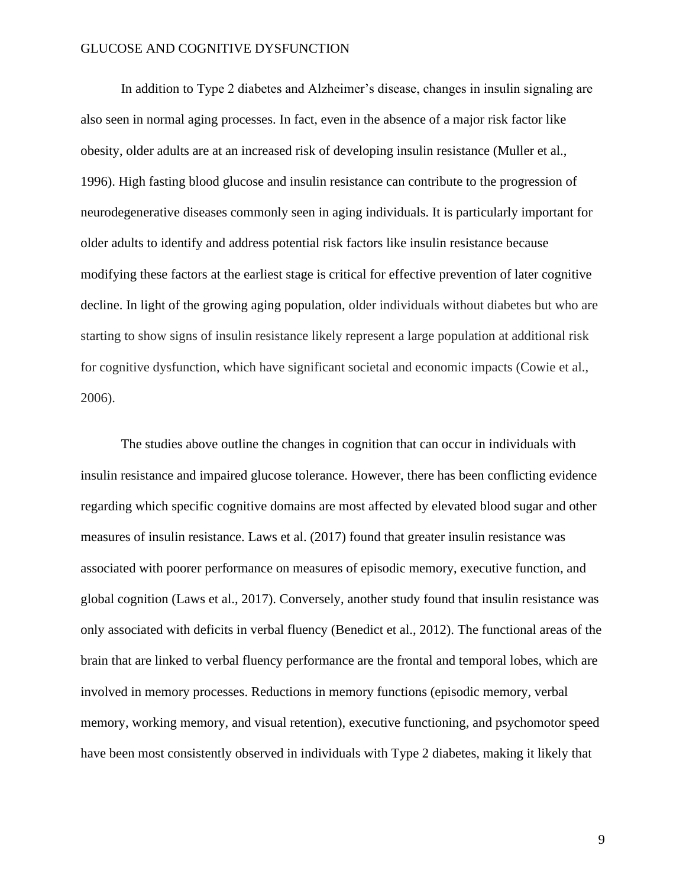In addition to Type 2 diabetes and Alzheimer's disease, changes in insulin signaling are also seen in normal aging processes. In fact, even in the absence of a major risk factor like obesity, older adults are at an increased risk of developing insulin resistance (Muller et al., 1996). High fasting blood glucose and insulin resistance can contribute to the progression of neurodegenerative diseases commonly seen in aging individuals. It is particularly important for older adults to identify and address potential risk factors like insulin resistance because modifying these factors at the earliest stage is critical for effective prevention of later cognitive decline. In light of the growing aging population, older individuals without diabetes but who are starting to show signs of insulin resistance likely represent a large population at additional risk for cognitive dysfunction, which have significant societal and economic impacts (Cowie et al., 2006).

The studies above outline the changes in cognition that can occur in individuals with insulin resistance and impaired glucose tolerance. However, there has been conflicting evidence regarding which specific cognitive domains are most affected by elevated blood sugar and other measures of insulin resistance. Laws et al. (2017) found that greater insulin resistance was associated with poorer performance on measures of episodic memory, executive function, and global cognition (Laws et al., 2017). Conversely, another study found that insulin resistance was only associated with deficits in verbal fluency (Benedict et al., 2012). The functional areas of the brain that are linked to verbal fluency performance are the frontal and temporal lobes, which are involved in memory processes. Reductions in memory functions (episodic memory, verbal memory, working memory, and visual retention), executive functioning, and psychomotor speed have been most consistently observed in individuals with Type 2 diabetes, making it likely that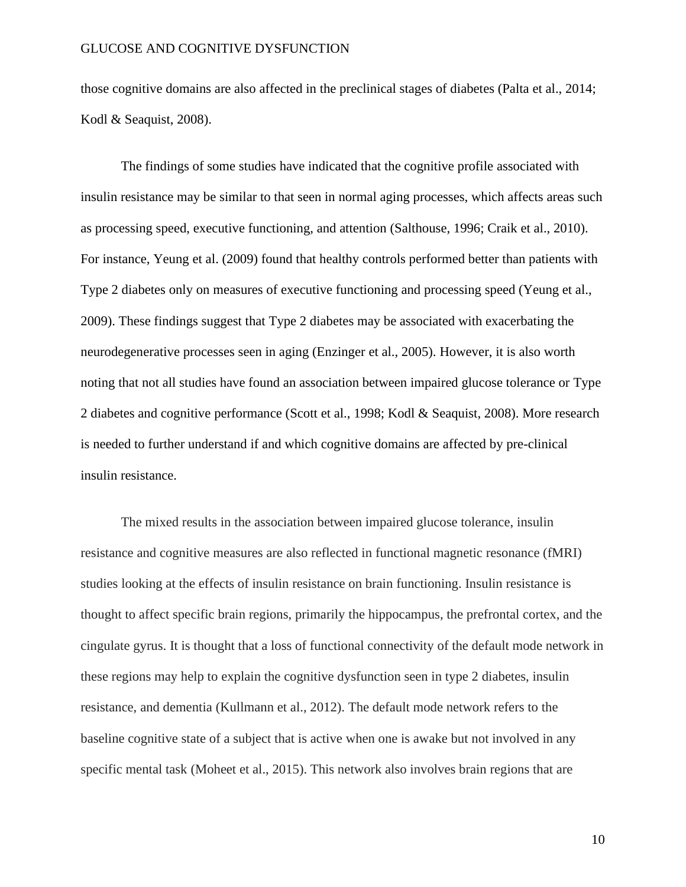those cognitive domains are also affected in the preclinical stages of diabetes (Palta et al., 2014; Kodl & Seaquist, 2008).

The findings of some studies have indicated that the cognitive profile associated with insulin resistance may be similar to that seen in normal aging processes, which affects areas such as processing speed, executive functioning, and attention (Salthouse, 1996; Craik et al., 2010). For instance, Yeung et al. (2009) found that healthy controls performed better than patients with Type 2 diabetes only on measures of executive functioning and processing speed (Yeung et al., 2009). These findings suggest that Type 2 diabetes may be associated with exacerbating the neurodegenerative processes seen in aging (Enzinger et al., 2005). However, it is also worth noting that not all studies have found an association between impaired glucose tolerance or Type 2 diabetes and cognitive performance (Scott et al., 1998; Kodl & Seaquist, 2008). More research is needed to further understand if and which cognitive domains are affected by pre-clinical insulin resistance.

The mixed results in the association between impaired glucose tolerance, insulin resistance and cognitive measures are also reflected in functional magnetic resonance (fMRI) studies looking at the effects of insulin resistance on brain functioning. Insulin resistance is thought to affect specific brain regions, primarily the hippocampus, the prefrontal cortex, and the cingulate gyrus. It is thought that a loss of functional connectivity of the default mode network in these regions may help to explain the cognitive dysfunction seen in type 2 diabetes, insulin resistance, and dementia (Kullmann et al., 2012). The default mode network refers to the baseline cognitive state of a subject that is active when one is awake but not involved in any specific mental task (Moheet et al., 2015). This network also involves brain regions that are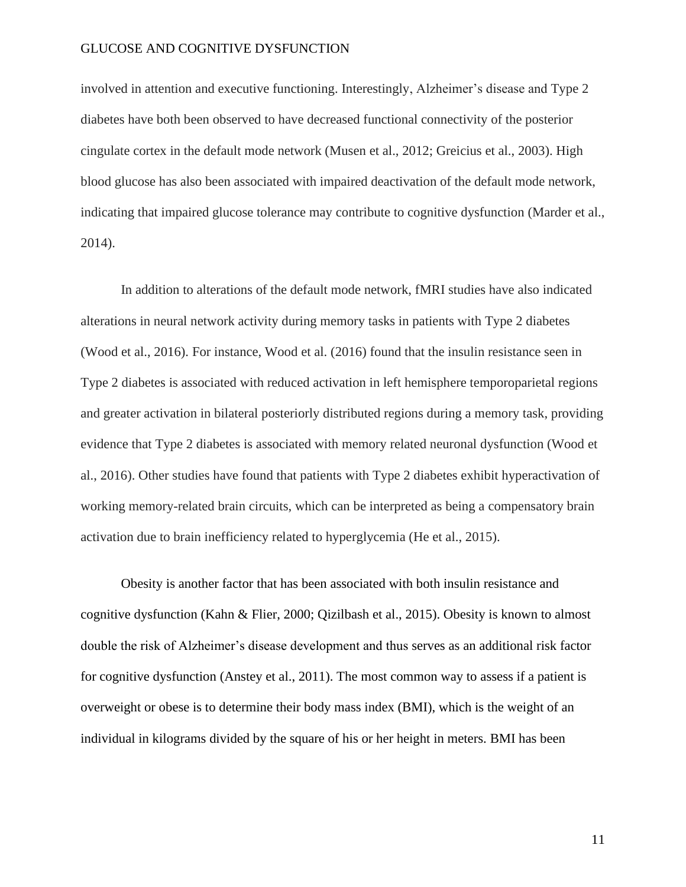involved in attention and executive functioning. Interestingly, Alzheimer's disease and Type 2 diabetes have both been observed to have decreased functional connectivity of the posterior cingulate cortex in the default mode network (Musen et al., 2012; Greicius et al., 2003). High blood glucose has also been associated with impaired deactivation of the default mode network, indicating that impaired glucose tolerance may contribute to cognitive dysfunction (Marder et al., 2014).

In addition to alterations of the default mode network, fMRI studies have also indicated alterations in neural network activity during memory tasks in patients with Type 2 diabetes (Wood et al., 2016). For instance, Wood et al. (2016) found that the insulin resistance seen in Type 2 diabetes is associated with reduced activation in left hemisphere temporoparietal regions and greater activation in bilateral posteriorly distributed regions during a memory task, providing evidence that Type 2 diabetes is associated with memory related neuronal dysfunction (Wood et al., 2016). Other studies have found that patients with Type 2 diabetes exhibit hyperactivation of working memory-related brain circuits, which can be interpreted as being a compensatory brain activation due to brain inefficiency related to hyperglycemia (He et al., 2015).

Obesity is another factor that has been associated with both insulin resistance and cognitive dysfunction (Kahn & Flier, 2000; Qizilbash et al., 2015). Obesity is known to almost double the risk of Alzheimer's disease development and thus serves as an additional risk factor for cognitive dysfunction (Anstey et al., 2011). The most common way to assess if a patient is overweight or obese is to determine their body mass index (BMI), which is the weight of an individual in kilograms divided by the square of his or her height in meters. BMI has been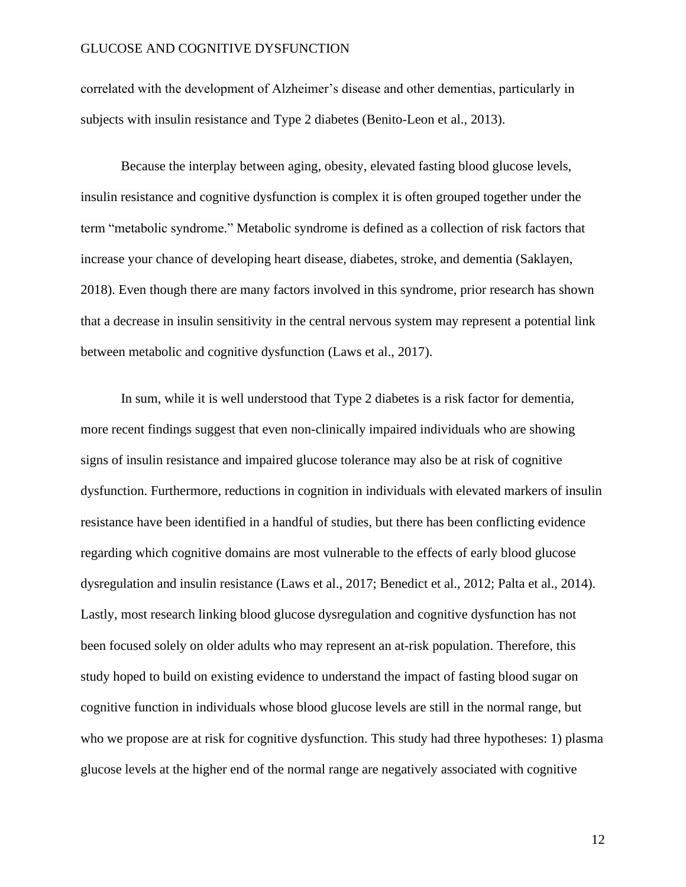correlated with the development of Alzheimer's disease and other dementias, particularly in subjects with insulin resistance and Type 2 diabetes (Benito-Leon et al., 2013).

Because the interplay between aging, obesity, elevated fasting blood glucose levels, insulin resistance and cognitive dysfunction is complex it is often grouped together under the term "metabolic syndrome." Metabolic syndrome is defined as a collection of risk factors that increase your chance of developing heart disease, diabetes, stroke, and dementia (Saklayen, 2018). Even though there are many factors involved in this syndrome, prior research has shown that a decrease in insulin sensitivity in the central nervous system may represent a potential link between metabolic and cognitive dysfunction (Laws et al., 2017).

In sum, while it is well understood that Type 2 diabetes is a risk factor for dementia, more recent findings suggest that even non-clinically impaired individuals who are showing signs of insulin resistance and impaired glucose tolerance may also be at risk of cognitive dysfunction. Furthermore, reductions in cognition in individuals with elevated markers of insulin resistance have been identified in a handful of studies, but there has been conflicting evidence regarding which cognitive domains are most vulnerable to the effects of early blood glucose dysregulation and insulin resistance (Laws et al., 2017; Benedict et al., 2012; Palta et al., 2014). Lastly, most research linking blood glucose dysregulation and cognitive dysfunction has not been focused solely on older adults who may represent an at-risk population. Therefore, this study hoped to build on existing evidence to understand the impact of fasting blood sugar on cognitive function in individuals whose blood glucose levels are still in the normal range, but who we propose are at risk for cognitive dysfunction. This study had three hypotheses: 1) plasma glucose levels at the higher end of the normal range are negatively associated with cognitive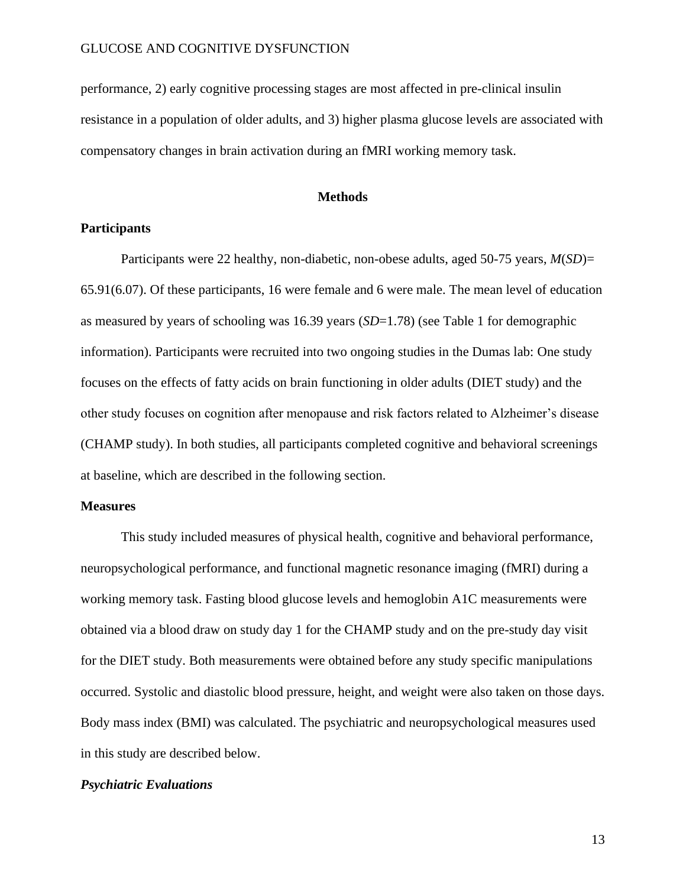performance, 2) early cognitive processing stages are most affected in pre-clinical insulin resistance in a population of older adults, and 3) higher plasma glucose levels are associated with compensatory changes in brain activation during an fMRI working memory task.

#### **Methods**

#### **Participants**

Participants were 22 healthy, non-diabetic, non-obese adults, aged 50-75 years, *M*(*SD*)= 65.91(6.07). Of these participants, 16 were female and 6 were male. The mean level of education as measured by years of schooling was 16.39 years (*SD*=1.78) (see Table 1 for demographic information). Participants were recruited into two ongoing studies in the Dumas lab: One study focuses on the effects of fatty acids on brain functioning in older adults (DIET study) and the other study focuses on cognition after menopause and risk factors related to Alzheimer's disease (CHAMP study). In both studies, all participants completed cognitive and behavioral screenings at baseline, which are described in the following section.

#### **Measures**

This study included measures of physical health, cognitive and behavioral performance, neuropsychological performance, and functional magnetic resonance imaging (fMRI) during a working memory task. Fasting blood glucose levels and hemoglobin A1C measurements were obtained via a blood draw on study day 1 for the CHAMP study and on the pre-study day visit for the DIET study. Both measurements were obtained before any study specific manipulations occurred. Systolic and diastolic blood pressure, height, and weight were also taken on those days. Body mass index (BMI) was calculated. The psychiatric and neuropsychological measures used in this study are described below.

#### *Psychiatric Evaluations*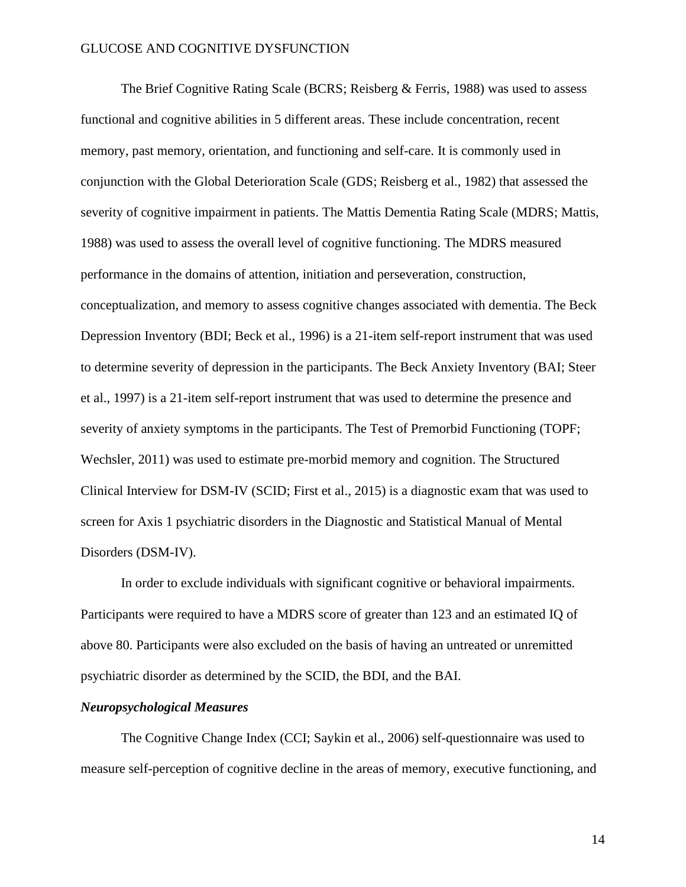The Brief Cognitive Rating Scale (BCRS; Reisberg & Ferris, 1988) was used to assess functional and cognitive abilities in 5 different areas. These include concentration, recent memory, past memory, orientation, and functioning and self-care. It is commonly used in conjunction with the Global Deterioration Scale (GDS; Reisberg et al., 1982) that assessed the severity of cognitive impairment in patients. The Mattis Dementia Rating Scale (MDRS; Mattis, 1988) was used to assess the overall level of cognitive functioning. The MDRS measured performance in the domains of attention, initiation and perseveration, construction, conceptualization, and memory to assess cognitive changes associated with dementia. The Beck Depression Inventory (BDI; Beck et al., 1996) is a 21-item self-report instrument that was used to determine severity of depression in the participants. The Beck Anxiety Inventory (BAI; Steer et al., 1997) is a 21-item self-report instrument that was used to determine the presence and severity of anxiety symptoms in the participants. The Test of Premorbid Functioning (TOPF; Wechsler, 2011) was used to estimate pre-morbid memory and cognition. The Structured Clinical Interview for DSM-IV (SCID; First et al., 2015) is a diagnostic exam that was used to screen for Axis 1 psychiatric disorders in the Diagnostic and Statistical Manual of Mental Disorders (DSM-IV).

In order to exclude individuals with significant cognitive or behavioral impairments. Participants were required to have a MDRS score of greater than 123 and an estimated IQ of above 80. Participants were also excluded on the basis of having an untreated or unremitted psychiatric disorder as determined by the SCID, the BDI, and the BAI.

#### *Neuropsychological Measures*

The Cognitive Change Index (CCI; Saykin et al., 2006) self-questionnaire was used to measure self-perception of cognitive decline in the areas of memory, executive functioning, and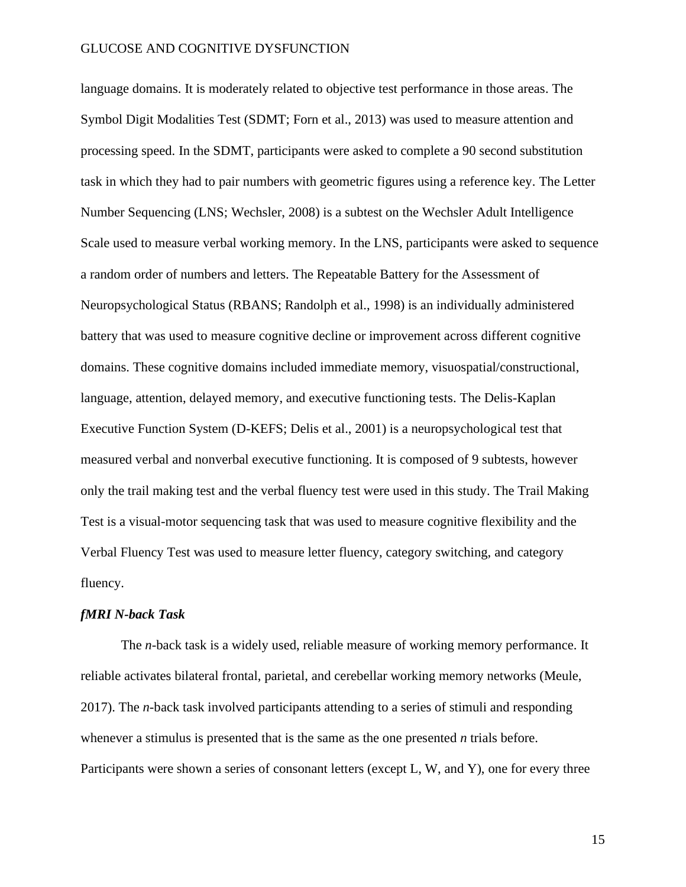language domains. It is moderately related to objective test performance in those areas. The Symbol Digit Modalities Test (SDMT; Forn et al., 2013) was used to measure attention and processing speed. In the SDMT, participants were asked to complete a 90 second substitution task in which they had to pair numbers with geometric figures using a reference key. The Letter Number Sequencing (LNS; Wechsler, 2008) is a subtest on the Wechsler Adult Intelligence Scale used to measure verbal working memory. In the LNS, participants were asked to sequence a random order of numbers and letters. The Repeatable Battery for the Assessment of Neuropsychological Status (RBANS; Randolph et al., 1998) is an individually administered battery that was used to measure cognitive decline or improvement across different cognitive domains. These cognitive domains included immediate memory, visuospatial/constructional, language, attention, delayed memory, and executive functioning tests. The Delis-Kaplan Executive Function System (D-KEFS; Delis et al., 2001) is a neuropsychological test that measured verbal and nonverbal executive functioning. It is composed of 9 subtests, however only the trail making test and the verbal fluency test were used in this study. The Trail Making Test is a visual-motor sequencing task that was used to measure cognitive flexibility and the Verbal Fluency Test was used to measure letter fluency, category switching, and category fluency.

#### *fMRI N-back Task*

The *n*-back task is a widely used, reliable measure of working memory performance. It reliable activates bilateral frontal, parietal, and cerebellar working memory networks (Meule, 2017). The *n*-back task involved participants attending to a series of stimuli and responding whenever a stimulus is presented that is the same as the one presented *n* trials before. Participants were shown a series of consonant letters (except L, W, and Y), one for every three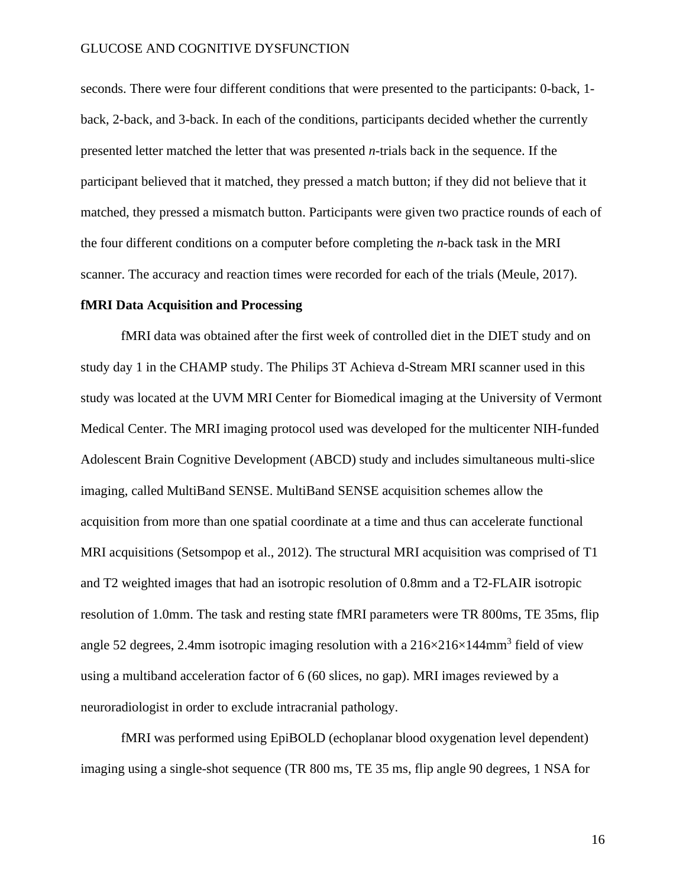seconds. There were four different conditions that were presented to the participants: 0-back, 1 back, 2-back, and 3-back. In each of the conditions, participants decided whether the currently presented letter matched the letter that was presented *n*-trials back in the sequence. If the participant believed that it matched, they pressed a match button; if they did not believe that it matched, they pressed a mismatch button. Participants were given two practice rounds of each of the four different conditions on a computer before completing the *n*-back task in the MRI scanner. The accuracy and reaction times were recorded for each of the trials (Meule, 2017).

#### **fMRI Data Acquisition and Processing**

fMRI data was obtained after the first week of controlled diet in the DIET study and on study day 1 in the CHAMP study. The Philips 3T Achieva d-Stream MRI scanner used in this study was located at the UVM MRI Center for Biomedical imaging at the University of Vermont Medical Center. The MRI imaging protocol used was developed for the multicenter NIH-funded Adolescent Brain Cognitive Development (ABCD) study and includes simultaneous multi-slice imaging, called MultiBand SENSE. MultiBand SENSE acquisition schemes allow the acquisition from more than one spatial coordinate at a time and thus can accelerate functional MRI acquisitions (Setsompop et al., 2012). The structural MRI acquisition was comprised of T1 and T2 weighted images that had an isotropic resolution of 0.8mm and a T2-FLAIR isotropic resolution of 1.0mm. The task and resting state fMRI parameters were TR 800ms, TE 35ms, flip angle 52 degrees, 2.4mm isotropic imaging resolution with a  $216\times216\times144$ mm<sup>3</sup> field of view using a multiband acceleration factor of 6 (60 slices, no gap). MRI images reviewed by a neuroradiologist in order to exclude intracranial pathology.

fMRI was performed using EpiBOLD (echoplanar blood oxygenation level dependent) imaging using a single-shot sequence (TR 800 ms, TE 35 ms, flip angle 90 degrees, 1 NSA for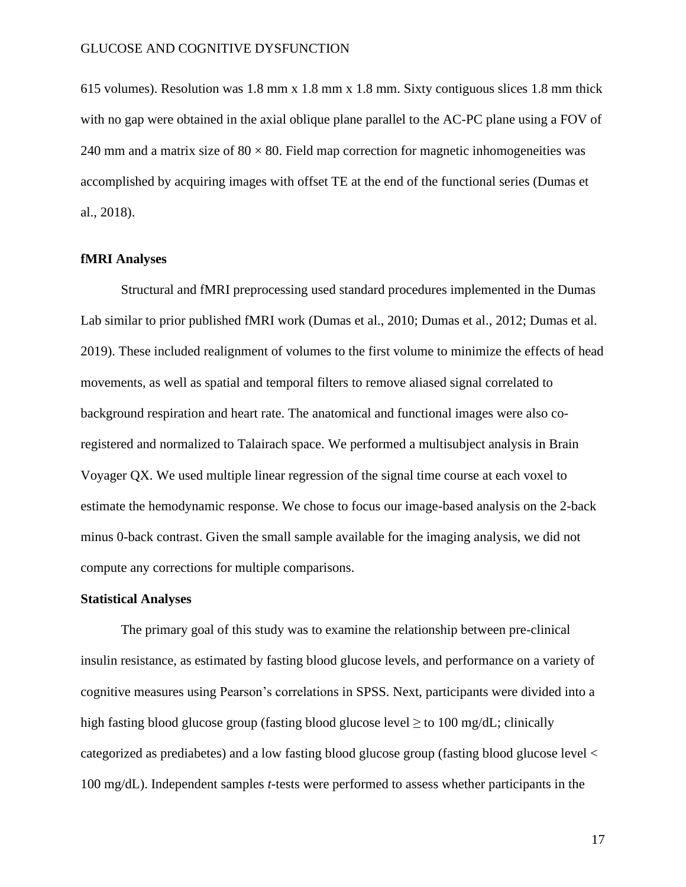615 volumes). Resolution was 1.8 mm x 1.8 mm x 1.8 mm. Sixty contiguous slices 1.8 mm thick with no gap were obtained in the axial oblique plane parallel to the AC-PC plane using a FOV of 240 mm and a matrix size of  $80 \times 80$ . Field map correction for magnetic inhomogeneities was accomplished by acquiring images with offset TE at the end of the functional series (Dumas et al., 2018).

#### **fMRI Analyses**

Structural and fMRI preprocessing used standard procedures implemented in the Dumas Lab similar to prior published fMRI work (Dumas et al., 2010; Dumas et al., 2012; Dumas et al. 2019). These included realignment of volumes to the first volume to minimize the effects of head movements, as well as spatial and temporal filters to remove aliased signal correlated to background respiration and heart rate. The anatomical and functional images were also coregistered and normalized to Talairach space. We performed a multisubject analysis in Brain Voyager QX. We used multiple linear regression of the signal time course at each voxel to estimate the hemodynamic response. We chose to focus our image-based analysis on the 2-back minus 0-back contrast. Given the small sample available for the imaging analysis, we did not compute any corrections for multiple comparisons.

#### **Statistical Analyses**

The primary goal of this study was to examine the relationship between pre-clinical insulin resistance, as estimated by fasting blood glucose levels, and performance on a variety of cognitive measures using Pearson's correlations in SPSS. Next, participants were divided into a high fasting blood glucose group (fasting blood glucose level  $\geq$  to 100 mg/dL; clinically categorized as prediabetes) and a low fasting blood glucose group (fasting blood glucose level < 100 mg/dL). Independent samples *t*-tests were performed to assess whether participants in the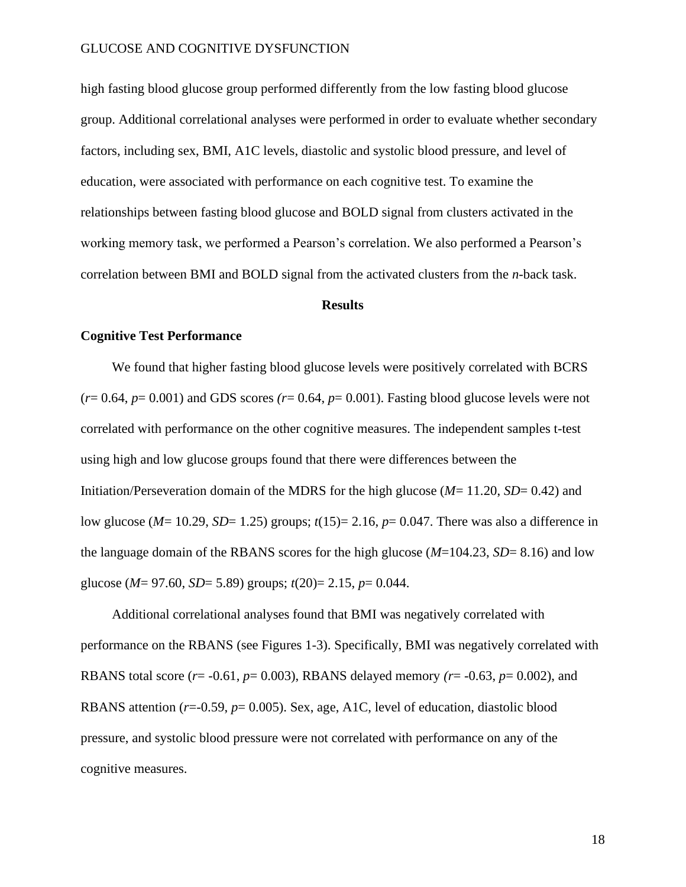high fasting blood glucose group performed differently from the low fasting blood glucose group. Additional correlational analyses were performed in order to evaluate whether secondary factors, including sex, BMI, A1C levels, diastolic and systolic blood pressure, and level of education, were associated with performance on each cognitive test. To examine the relationships between fasting blood glucose and BOLD signal from clusters activated in the working memory task, we performed a Pearson's correlation. We also performed a Pearson's correlation between BMI and BOLD signal from the activated clusters from the *n*-back task.

#### **Results**

#### **Cognitive Test Performance**

We found that higher fasting blood glucose levels were positively correlated with BCRS  $(r= 0.64, p= 0.001)$  and GDS scores  $(r= 0.64, p= 0.001)$ . Fasting blood glucose levels were not correlated with performance on the other cognitive measures. The independent samples t-test using high and low glucose groups found that there were differences between the Initiation/Perseveration domain of the MDRS for the high glucose (*M*= 11.20, *SD*= 0.42) and low glucose (*M*= 10.29, *SD*= 1.25) groups; *t*(15)= 2.16, *p*= 0.047. There was also a difference in the language domain of the RBANS scores for the high glucose (*M*=104.23, *SD*= 8.16) and low glucose (*M*= 97.60, *SD*= 5.89) groups; *t*(20)= 2.15, *p*= 0.044.

Additional correlational analyses found that BMI was negatively correlated with performance on the RBANS (see Figures 1-3). Specifically, BMI was negatively correlated with RBANS total score (*r*= -0.61, *p*= 0.003), RBANS delayed memory *(r*= -0.63, *p*= 0.002), and RBANS attention (*r*=-0.59, *p*= 0.005). Sex, age, A1C, level of education, diastolic blood pressure, and systolic blood pressure were not correlated with performance on any of the cognitive measures.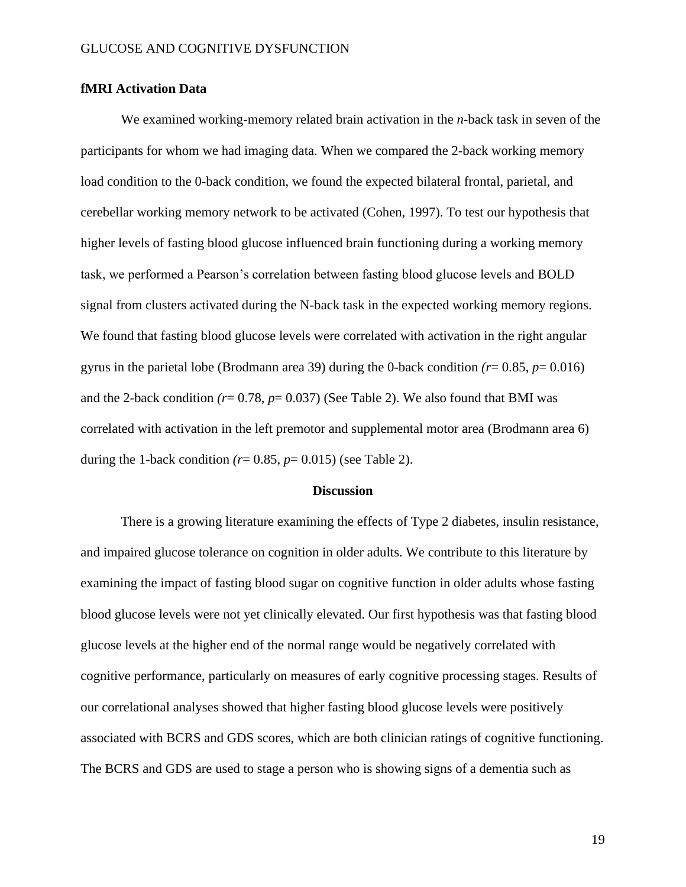#### **fMRI Activation Data**

We examined working-memory related brain activation in the *n*-back task in seven of the participants for whom we had imaging data. When we compared the 2-back working memory load condition to the 0-back condition, we found the expected bilateral frontal, parietal, and cerebellar working memory network to be activated (Cohen, 1997). To test our hypothesis that higher levels of fasting blood glucose influenced brain functioning during a working memory task, we performed a Pearson's correlation between fasting blood glucose levels and BOLD signal from clusters activated during the N-back task in the expected working memory regions. We found that fasting blood glucose levels were correlated with activation in the right angular gyrus in the parietal lobe (Brodmann area 39) during the 0-back condition  $(r=0.85, p=0.016)$ and the 2-back condition  $(r= 0.78, p= 0.037)$  (See Table 2). We also found that BMI was correlated with activation in the left premotor and supplemental motor area (Brodmann area 6) during the 1-back condition  $(r= 0.85, p= 0.015)$  (see Table 2).

#### **Discussion**

There is a growing literature examining the effects of Type 2 diabetes, insulin resistance, and impaired glucose tolerance on cognition in older adults. We contribute to this literature by examining the impact of fasting blood sugar on cognitive function in older adults whose fasting blood glucose levels were not yet clinically elevated. Our first hypothesis was that fasting blood glucose levels at the higher end of the normal range would be negatively correlated with cognitive performance, particularly on measures of early cognitive processing stages. Results of our correlational analyses showed that higher fasting blood glucose levels were positively associated with BCRS and GDS scores, which are both clinician ratings of cognitive functioning. The BCRS and GDS are used to stage a person who is showing signs of a dementia such as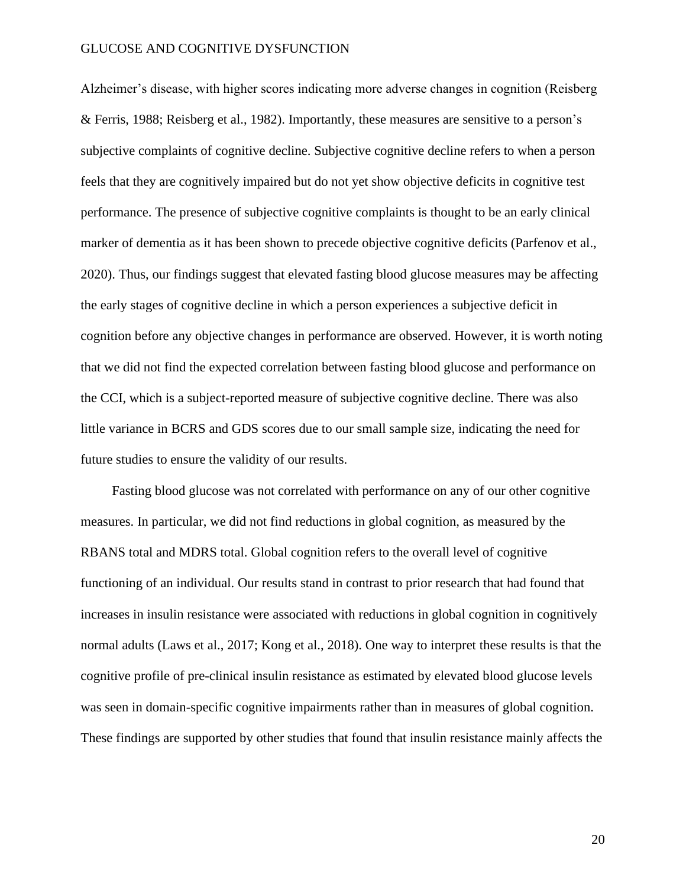Alzheimer's disease, with higher scores indicating more adverse changes in cognition (Reisberg & Ferris, 1988; Reisberg et al., 1982). Importantly, these measures are sensitive to a person's subjective complaints of cognitive decline. Subjective cognitive decline refers to when a person feels that they are cognitively impaired but do not yet show objective deficits in cognitive test performance. The presence of subjective cognitive complaints is thought to be an early clinical marker of dementia as it has been shown to precede objective cognitive deficits (Parfenov et al., 2020). Thus, our findings suggest that elevated fasting blood glucose measures may be affecting the early stages of cognitive decline in which a person experiences a subjective deficit in cognition before any objective changes in performance are observed. However, it is worth noting that we did not find the expected correlation between fasting blood glucose and performance on the CCI, which is a subject-reported measure of subjective cognitive decline. There was also little variance in BCRS and GDS scores due to our small sample size, indicating the need for future studies to ensure the validity of our results.

Fasting blood glucose was not correlated with performance on any of our other cognitive measures. In particular, we did not find reductions in global cognition, as measured by the RBANS total and MDRS total. Global cognition refers to the overall level of cognitive functioning of an individual. Our results stand in contrast to prior research that had found that increases in insulin resistance were associated with reductions in global cognition in cognitively normal adults (Laws et al., 2017; Kong et al., 2018). One way to interpret these results is that the cognitive profile of pre-clinical insulin resistance as estimated by elevated blood glucose levels was seen in domain-specific cognitive impairments rather than in measures of global cognition. These findings are supported by other studies that found that insulin resistance mainly affects the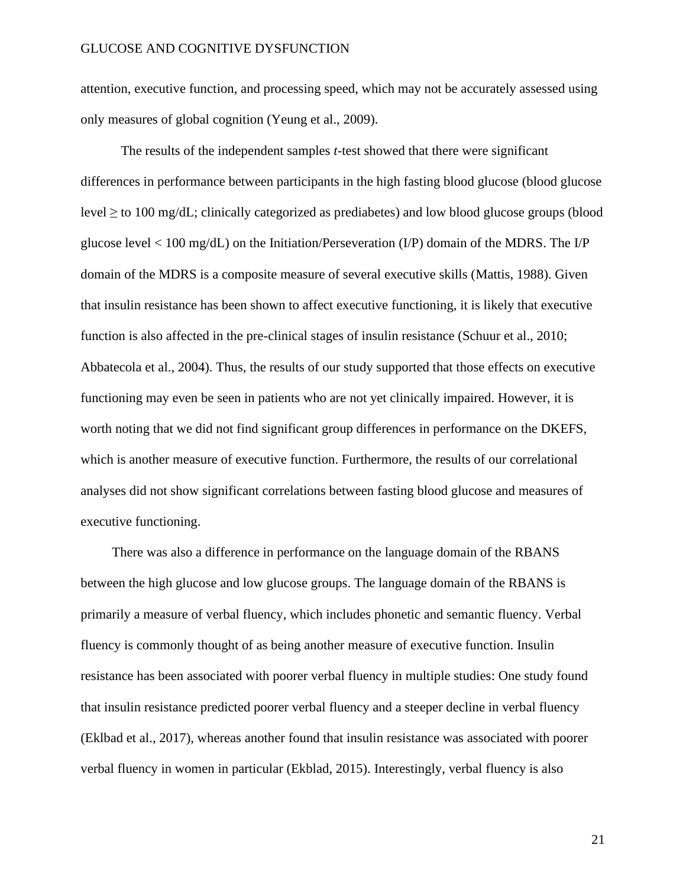attention, executive function, and processing speed, which may not be accurately assessed using only measures of global cognition (Yeung et al., 2009).

The results of the independent samples *t*-test showed that there were significant differences in performance between participants in the high fasting blood glucose (blood glucose level  $\geq$  to 100 mg/dL; clinically categorized as prediabetes) and low blood glucose groups (blood glucose level  $\lt 100 \text{ mg/dL}$  on the Initiation/Perseveration (I/P) domain of the MDRS. The I/P domain of the MDRS is a composite measure of several executive skills (Mattis, 1988). Given that insulin resistance has been shown to affect executive functioning, it is likely that executive function is also affected in the pre-clinical stages of insulin resistance (Schuur et al., 2010; Abbatecola et al., 2004). Thus, the results of our study supported that those effects on executive functioning may even be seen in patients who are not yet clinically impaired. However, it is worth noting that we did not find significant group differences in performance on the DKEFS, which is another measure of executive function. Furthermore, the results of our correlational analyses did not show significant correlations between fasting blood glucose and measures of executive functioning.

There was also a difference in performance on the language domain of the RBANS between the high glucose and low glucose groups. The language domain of the RBANS is primarily a measure of verbal fluency, which includes phonetic and semantic fluency. Verbal fluency is commonly thought of as being another measure of executive function. Insulin resistance has been associated with poorer verbal fluency in multiple studies: One study found that insulin resistance predicted poorer verbal fluency and a steeper decline in verbal fluency (Eklbad et al., 2017), whereas another found that insulin resistance was associated with poorer verbal fluency in women in particular (Ekblad, 2015). Interestingly, verbal fluency is also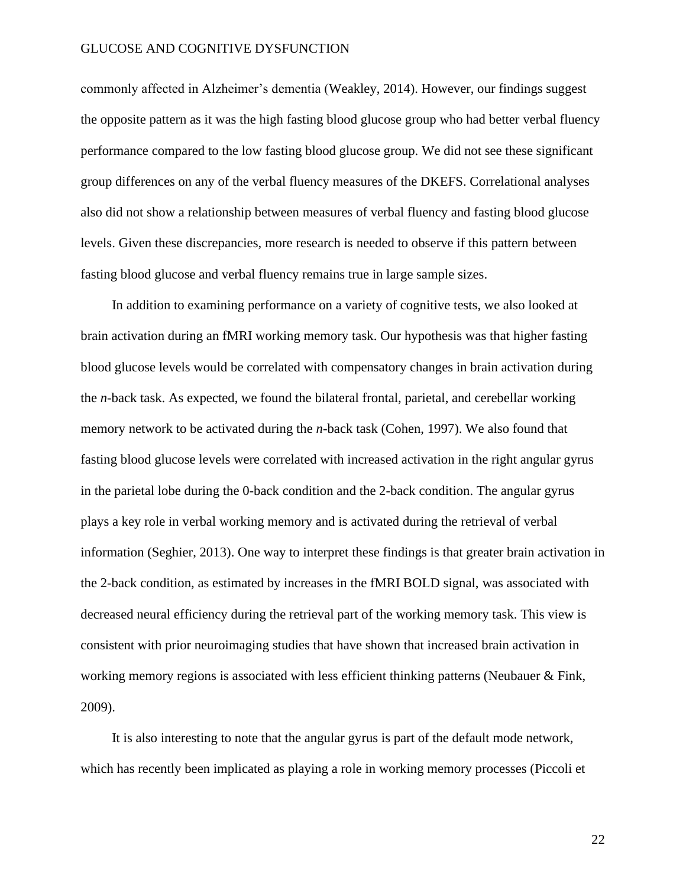commonly affected in Alzheimer's dementia (Weakley, 2014). However, our findings suggest the opposite pattern as it was the high fasting blood glucose group who had better verbal fluency performance compared to the low fasting blood glucose group. We did not see these significant group differences on any of the verbal fluency measures of the DKEFS. Correlational analyses also did not show a relationship between measures of verbal fluency and fasting blood glucose levels. Given these discrepancies, more research is needed to observe if this pattern between fasting blood glucose and verbal fluency remains true in large sample sizes.

In addition to examining performance on a variety of cognitive tests, we also looked at brain activation during an fMRI working memory task. Our hypothesis was that higher fasting blood glucose levels would be correlated with compensatory changes in brain activation during the *n*-back task. As expected, we found the bilateral frontal, parietal, and cerebellar working memory network to be activated during the *n*-back task (Cohen, 1997). We also found that fasting blood glucose levels were correlated with increased activation in the right angular gyrus in the parietal lobe during the 0-back condition and the 2-back condition. The angular gyrus plays a key role in verbal working memory and is activated during the retrieval of verbal information (Seghier, 2013). One way to interpret these findings is that greater brain activation in the 2-back condition, as estimated by increases in the fMRI BOLD signal, was associated with decreased neural efficiency during the retrieval part of the working memory task. This view is consistent with prior neuroimaging studies that have shown that increased brain activation in working memory regions is associated with less efficient thinking patterns (Neubauer & Fink, 2009).

It is also interesting to note that the angular gyrus is part of the default mode network, which has recently been implicated as playing a role in working memory processes (Piccoli et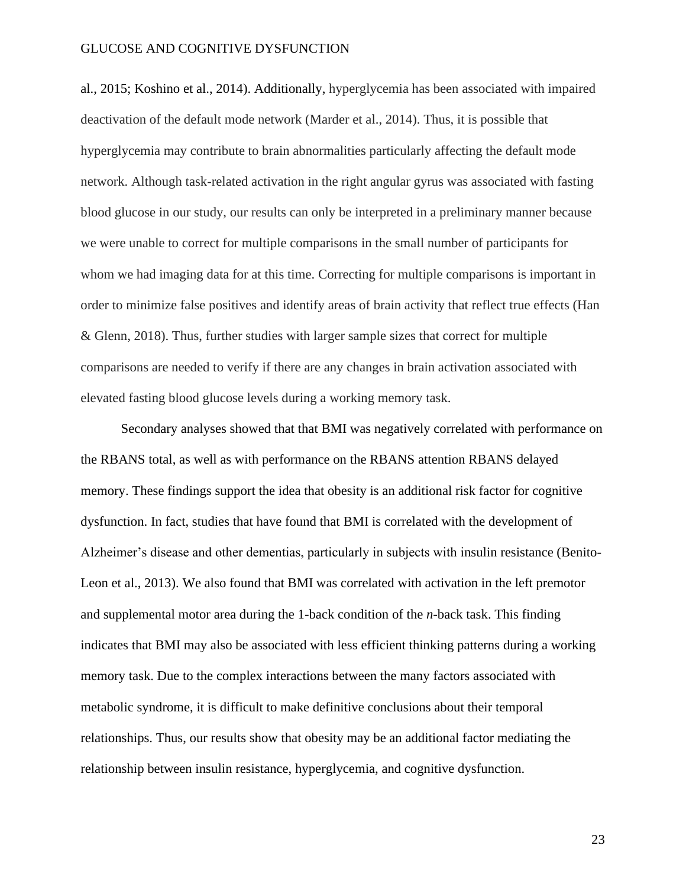al., 2015; Koshino et al., 2014). Additionally, hyperglycemia has been associated with impaired deactivation of the default mode network (Marder et al., 2014). Thus, it is possible that hyperglycemia may contribute to brain abnormalities particularly affecting the default mode network. Although task-related activation in the right angular gyrus was associated with fasting blood glucose in our study, our results can only be interpreted in a preliminary manner because we were unable to correct for multiple comparisons in the small number of participants for whom we had imaging data for at this time. Correcting for multiple comparisons is important in order to minimize false positives and identify areas of brain activity that reflect true effects (Han & Glenn, 2018). Thus, further studies with larger sample sizes that correct for multiple comparisons are needed to verify if there are any changes in brain activation associated with elevated fasting blood glucose levels during a working memory task.

Secondary analyses showed that that BMI was negatively correlated with performance on the RBANS total, as well as with performance on the RBANS attention RBANS delayed memory. These findings support the idea that obesity is an additional risk factor for cognitive dysfunction. In fact, studies that have found that BMI is correlated with the development of Alzheimer's disease and other dementias, particularly in subjects with insulin resistance (Benito-Leon et al., 2013). We also found that BMI was correlated with activation in the left premotor and supplemental motor area during the 1-back condition of the *n*-back task. This finding indicates that BMI may also be associated with less efficient thinking patterns during a working memory task. Due to the complex interactions between the many factors associated with metabolic syndrome, it is difficult to make definitive conclusions about their temporal relationships. Thus, our results show that obesity may be an additional factor mediating the relationship between insulin resistance, hyperglycemia, and cognitive dysfunction.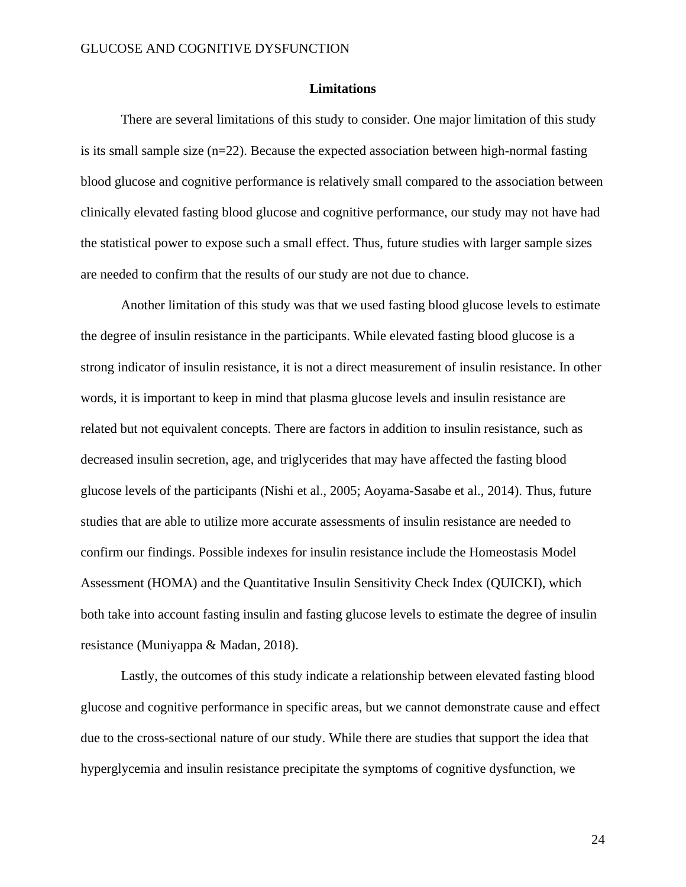#### **Limitations**

There are several limitations of this study to consider. One major limitation of this study is its small sample size  $(n=22)$ . Because the expected association between high-normal fasting blood glucose and cognitive performance is relatively small compared to the association between clinically elevated fasting blood glucose and cognitive performance, our study may not have had the statistical power to expose such a small effect. Thus, future studies with larger sample sizes are needed to confirm that the results of our study are not due to chance.

Another limitation of this study was that we used fasting blood glucose levels to estimate the degree of insulin resistance in the participants. While elevated fasting blood glucose is a strong indicator of insulin resistance, it is not a direct measurement of insulin resistance. In other words, it is important to keep in mind that plasma glucose levels and insulin resistance are related but not equivalent concepts. There are factors in addition to insulin resistance, such as decreased insulin secretion, age, and triglycerides that may have affected the fasting blood glucose levels of the participants (Nishi et al., 2005; Aoyama-Sasabe et al., 2014). Thus, future studies that are able to utilize more accurate assessments of insulin resistance are needed to confirm our findings. Possible indexes for insulin resistance include the Homeostasis Model Assessment (HOMA) and the Quantitative Insulin Sensitivity Check Index (QUICKI), which both take into account fasting insulin and fasting glucose levels to estimate the degree of insulin resistance (Muniyappa & Madan, 2018).

Lastly, the outcomes of this study indicate a relationship between elevated fasting blood glucose and cognitive performance in specific areas, but we cannot demonstrate cause and effect due to the cross-sectional nature of our study. While there are studies that support the idea that hyperglycemia and insulin resistance precipitate the symptoms of cognitive dysfunction, we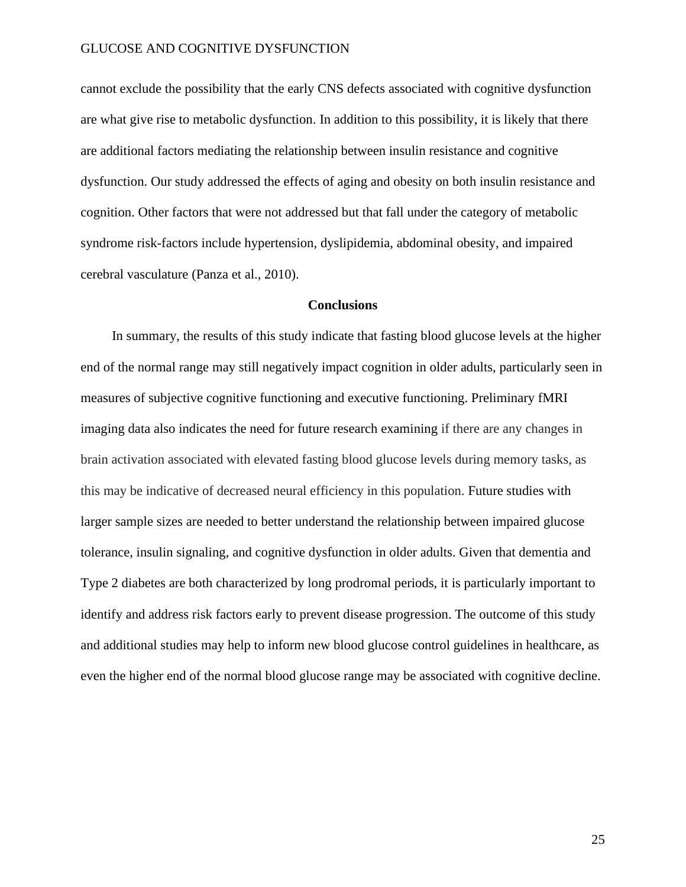cannot exclude the possibility that the early CNS defects associated with cognitive dysfunction are what give rise to metabolic dysfunction. In addition to this possibility, it is likely that there are additional factors mediating the relationship between insulin resistance and cognitive dysfunction. Our study addressed the effects of aging and obesity on both insulin resistance and cognition. Other factors that were not addressed but that fall under the category of metabolic syndrome risk-factors include hypertension, dyslipidemia, abdominal obesity, and impaired cerebral vasculature (Panza et al., 2010).

#### **Conclusions**

In summary, the results of this study indicate that fasting blood glucose levels at the higher end of the normal range may still negatively impact cognition in older adults, particularly seen in measures of subjective cognitive functioning and executive functioning. Preliminary fMRI imaging data also indicates the need for future research examining if there are any changes in brain activation associated with elevated fasting blood glucose levels during memory tasks, as this may be indicative of decreased neural efficiency in this population. Future studies with larger sample sizes are needed to better understand the relationship between impaired glucose tolerance, insulin signaling, and cognitive dysfunction in older adults. Given that dementia and Type 2 diabetes are both characterized by long prodromal periods, it is particularly important to identify and address risk factors early to prevent disease progression. The outcome of this study and additional studies may help to inform new blood glucose control guidelines in healthcare, as even the higher end of the normal blood glucose range may be associated with cognitive decline.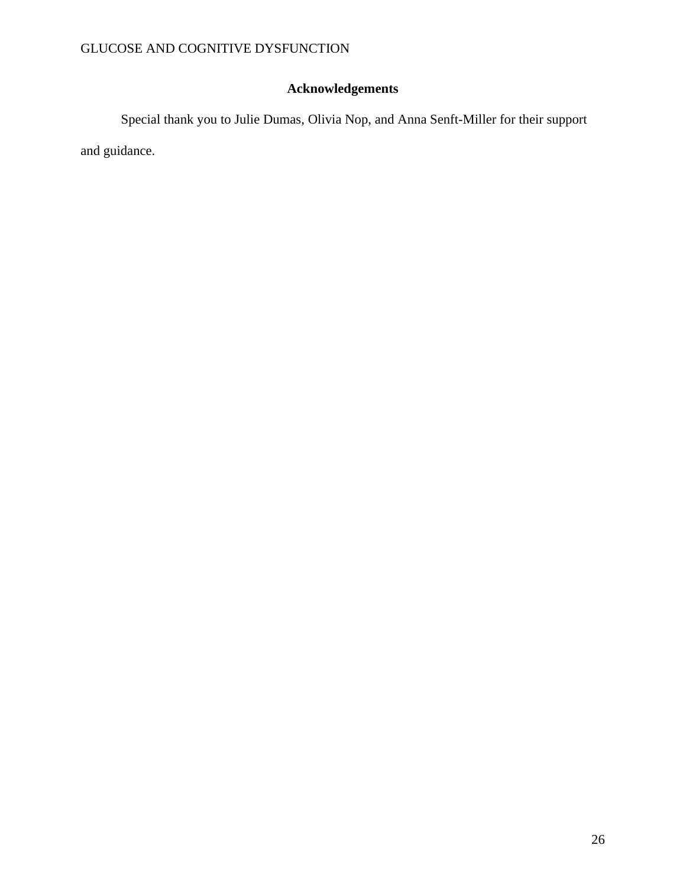## **Acknowledgements**

Special thank you to Julie Dumas, Olivia Nop, and Anna Senft-Miller for their support and guidance.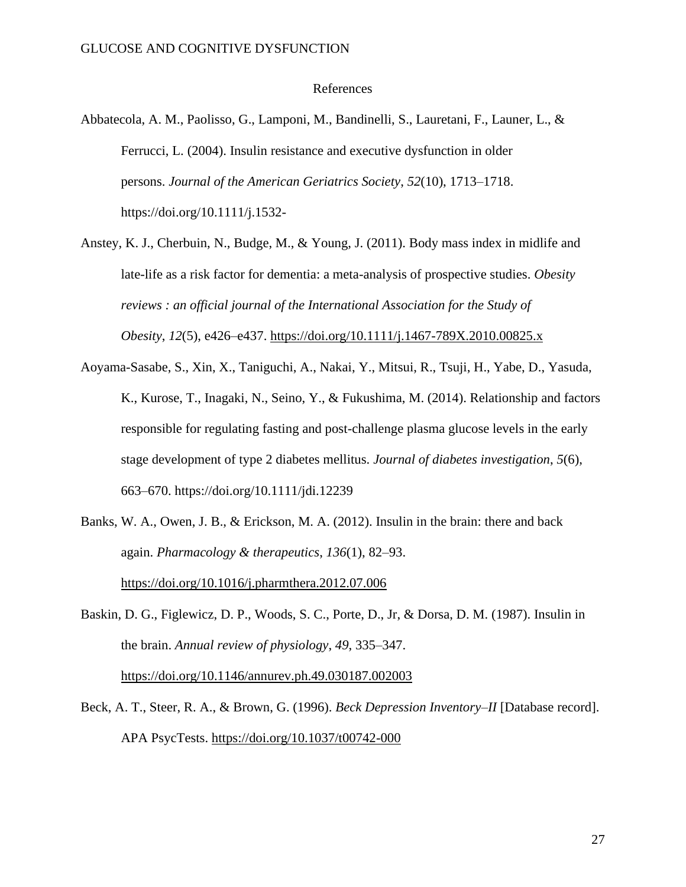#### References

- Abbatecola, A. M., Paolisso, G., Lamponi, M., Bandinelli, S., Lauretani, F., Launer, L., & Ferrucci, L. (2004). Insulin resistance and executive dysfunction in older persons. *Journal of the American Geriatrics Society*, *52*(10), 1713–1718. https://doi.org/10.1111/j.1532-
- Anstey, K. J., Cherbuin, N., Budge, M., & Young, J. (2011). Body mass index in midlife and late-life as a risk factor for dementia: a meta-analysis of prospective studies. *Obesity reviews : an official journal of the International Association for the Study of Obesity*, *12*(5), e426–e437.<https://doi.org/10.1111/j.1467-789X.2010.00825.x>
- Aoyama-Sasabe, S., Xin, X., Taniguchi, A., Nakai, Y., Mitsui, R., Tsuji, H., Yabe, D., Yasuda, K., Kurose, T., Inagaki, N., Seino, Y., & Fukushima, M. (2014). Relationship and factors responsible for regulating fasting and post-challenge plasma glucose levels in the early stage development of type 2 diabetes mellitus. *Journal of diabetes investigation*, *5*(6), 663–670. https://doi.org/10.1111/jdi.12239
- Banks, W. A., Owen, J. B., & Erickson, M. A. (2012). Insulin in the brain: there and back again. *Pharmacology & therapeutics*, *136*(1), 82–93. <https://doi.org/10.1016/j.pharmthera.2012.07.006>
- Baskin, D. G., Figlewicz, D. P., Woods, S. C., Porte, D., Jr, & Dorsa, D. M. (1987). Insulin in the brain. *Annual review of physiology*, *49*, 335–347. <https://doi.org/10.1146/annurev.ph.49.030187.002003>
- Beck, A. T., Steer, R. A., & Brown, G. (1996). *Beck Depression Inventory–II* [Database record]. APA PsycTests. [https://doi.org/10.1037/t00742-000](https://psycnet.apa.org/doi/10.1037/t00742-000)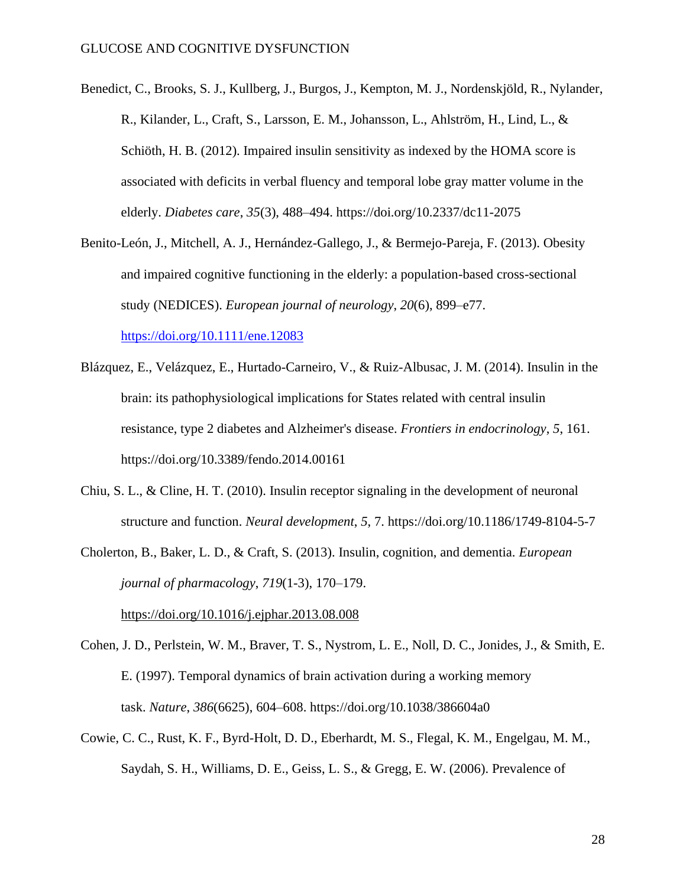- Benedict, C., Brooks, S. J., Kullberg, J., Burgos, J., Kempton, M. J., Nordenskjöld, R., Nylander, R., Kilander, L., Craft, S., Larsson, E. M., Johansson, L., Ahlström, H., Lind, L., & Schiöth, H. B. (2012). Impaired insulin sensitivity as indexed by the HOMA score is associated with deficits in verbal fluency and temporal lobe gray matter volume in the elderly. *Diabetes care*, *35*(3), 488–494. https://doi.org/10.2337/dc11-2075
- Benito-León, J., Mitchell, A. J., Hernández-Gallego, J., & Bermejo-Pareja, F. (2013). Obesity and impaired cognitive functioning in the elderly: a population-based cross-sectional study (NEDICES). *European journal of neurology*, *20*(6), 899–e77. <https://doi.org/10.1111/ene.12083>
- Blázquez, E., Velázquez, E., Hurtado-Carneiro, V., & Ruiz-Albusac, J. M. (2014). Insulin in the brain: its pathophysiological implications for States related with central insulin resistance, type 2 diabetes and Alzheimer's disease. *Frontiers in endocrinology*, *5*, 161. https://doi.org/10.3389/fendo.2014.00161
- Chiu, S. L., & Cline, H. T. (2010). Insulin receptor signaling in the development of neuronal structure and function. *Neural development*, *5*, 7. https://doi.org/10.1186/1749-8104-5-7
- Cholerton, B., Baker, L. D., & Craft, S. (2013). Insulin, cognition, and dementia. *European journal of pharmacology*, *719*(1-3), 170–179.

<https://doi.org/10.1016/j.ejphar.2013.08.008>

- Cohen, J. D., Perlstein, W. M., Braver, T. S., Nystrom, L. E., Noll, D. C., Jonides, J., & Smith, E. E. (1997). Temporal dynamics of brain activation during a working memory task. *Nature*, *386*(6625), 604–608. https://doi.org/10.1038/386604a0
- Cowie, C. C., Rust, K. F., Byrd-Holt, D. D., Eberhardt, M. S., Flegal, K. M., Engelgau, M. M., Saydah, S. H., Williams, D. E., Geiss, L. S., & Gregg, E. W. (2006). Prevalence of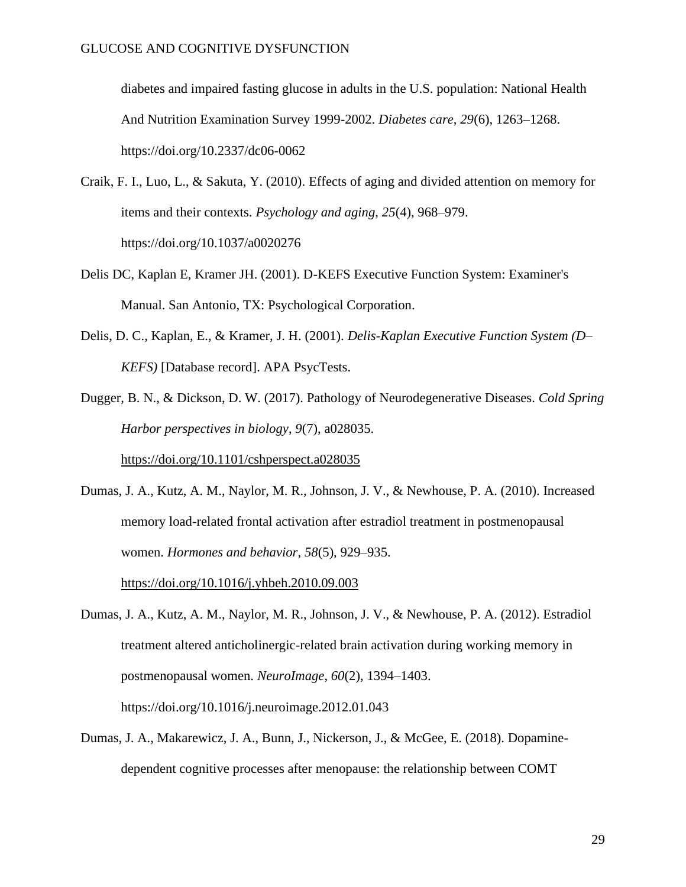diabetes and impaired fasting glucose in adults in the U.S. population: National Health And Nutrition Examination Survey 1999-2002. *Diabetes care*, *29*(6), 1263–1268. https://doi.org/10.2337/dc06-0062

- Craik, F. I., Luo, L., & Sakuta, Y. (2010). Effects of aging and divided attention on memory for items and their contexts. *Psychology and aging*, *25*(4), 968–979. https://doi.org/10.1037/a0020276
- Delis DC, Kaplan E, Kramer JH. (2001). D-KEFS Executive Function System: Examiner's Manual. San Antonio, TX: Psychological Corporation.
- Delis, D. C., Kaplan, E., & Kramer, J. H. (2001). *Delis-Kaplan Executive Function System (D– KEFS)* [Database record]. APA PsycTests.

Dugger, B. N., & Dickson, D. W. (2017). Pathology of Neurodegenerative Diseases. *Cold Spring Harbor perspectives in biology*, *9*(7), a028035.

<https://doi.org/10.1101/cshperspect.a028035>

Dumas, J. A., Kutz, A. M., Naylor, M. R., Johnson, J. V., & Newhouse, P. A. (2010). Increased memory load-related frontal activation after estradiol treatment in postmenopausal women. *Hormones and behavior*, *58*(5), 929–935. <https://doi.org/10.1016/j.yhbeh.2010.09.003>

Dumas, J. A., Kutz, A. M., Naylor, M. R., Johnson, J. V., & Newhouse, P. A. (2012). Estradiol treatment altered anticholinergic-related brain activation during working memory in postmenopausal women. *NeuroImage*, *60*(2), 1394–1403. https://doi.org/10.1016/j.neuroimage.2012.01.043

Dumas, J. A., Makarewicz, J. A., Bunn, J., Nickerson, J., & McGee, E. (2018). Dopaminedependent cognitive processes after menopause: the relationship between COMT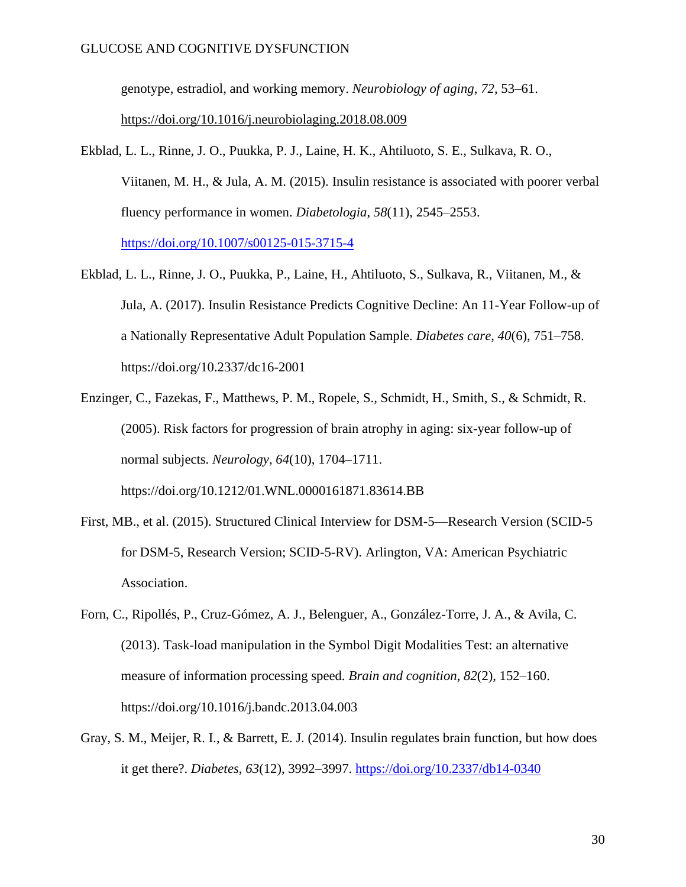genotype, estradiol, and working memory. *Neurobiology of aging*, *72*, 53–61. <https://doi.org/10.1016/j.neurobiolaging.2018.08.009>

- Ekblad, L. L., Rinne, J. O., Puukka, P. J., Laine, H. K., Ahtiluoto, S. E., Sulkava, R. O., Viitanen, M. H., & Jula, A. M. (2015). Insulin resistance is associated with poorer verbal fluency performance in women. *Diabetologia*, *58*(11), 2545–2553. <https://doi.org/10.1007/s00125-015-3715-4>
- Ekblad, L. L., Rinne, J. O., Puukka, P., Laine, H., Ahtiluoto, S., Sulkava, R., Viitanen, M., & Jula, A. (2017). Insulin Resistance Predicts Cognitive Decline: An 11-Year Follow-up of a Nationally Representative Adult Population Sample. *Diabetes care*, *40*(6), 751–758. https://doi.org/10.2337/dc16-2001
- Enzinger, C., Fazekas, F., Matthews, P. M., Ropele, S., Schmidt, H., Smith, S., & Schmidt, R. (2005). Risk factors for progression of brain atrophy in aging: six-year follow-up of normal subjects. *Neurology*, *64*(10), 1704–1711. https://doi.org/10.1212/01.WNL.0000161871.83614.BB
- First, MB., et al. (2015). Structured Clinical Interview for DSM-5—Research Version (SCID-5 for DSM-5, Research Version; SCID-5-RV). Arlington, VA: American Psychiatric Association.
- Forn, C., Ripollés, P., Cruz-Gómez, A. J., Belenguer, A., González-Torre, J. A., & Avila, C. (2013). Task-load manipulation in the Symbol Digit Modalities Test: an alternative measure of information processing speed. *Brain and cognition*, *82*(2), 152–160. https://doi.org/10.1016/j.bandc.2013.04.003
- Gray, S. M., Meijer, R. I., & Barrett, E. J. (2014). Insulin regulates brain function, but how does it get there?. *Diabetes*, *63*(12), 3992–3997.<https://doi.org/10.2337/db14-0340>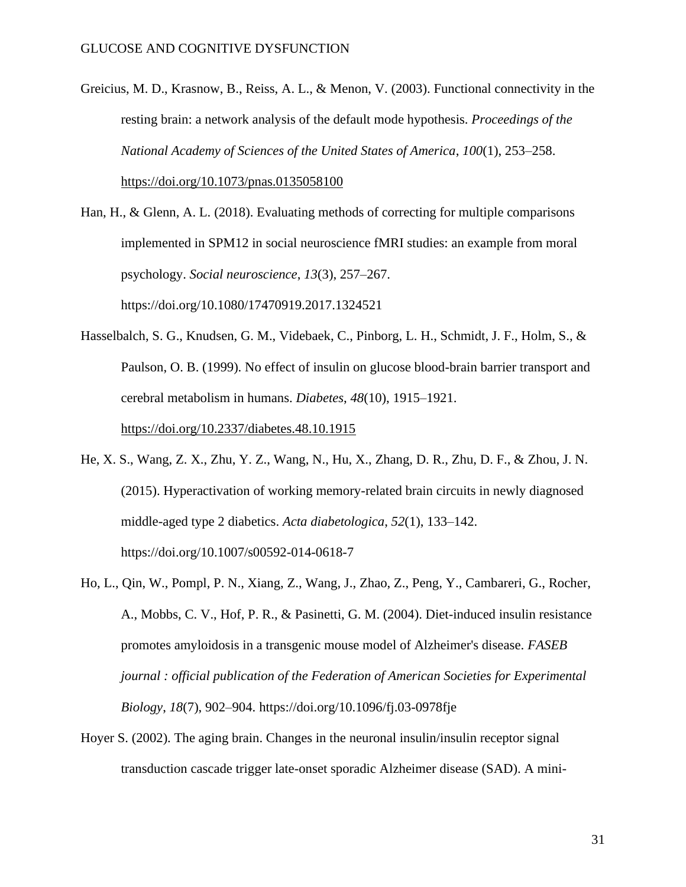- Greicius, M. D., Krasnow, B., Reiss, A. L., & Menon, V. (2003). Functional connectivity in the resting brain: a network analysis of the default mode hypothesis. *Proceedings of the National Academy of Sciences of the United States of America*, *100*(1), 253–258. <https://doi.org/10.1073/pnas.0135058100>
- Han, H., & Glenn, A. L. (2018). Evaluating methods of correcting for multiple comparisons implemented in SPM12 in social neuroscience fMRI studies: an example from moral psychology. *Social neuroscience*, *13*(3), 257–267. https://doi.org/10.1080/17470919.2017.1324521
- Hasselbalch, S. G., Knudsen, G. M., Videbaek, C., Pinborg, L. H., Schmidt, J. F., Holm, S., & Paulson, O. B. (1999). No effect of insulin on glucose blood-brain barrier transport and cerebral metabolism in humans. *Diabetes*, *48*(10), 1915–1921.

<https://doi.org/10.2337/diabetes.48.10.1915>

- He, X. S., Wang, Z. X., Zhu, Y. Z., Wang, N., Hu, X., Zhang, D. R., Zhu, D. F., & Zhou, J. N. (2015). Hyperactivation of working memory-related brain circuits in newly diagnosed middle-aged type 2 diabetics. *Acta diabetologica*, *52*(1), 133–142. https://doi.org/10.1007/s00592-014-0618-7
- Ho, L., Qin, W., Pompl, P. N., Xiang, Z., Wang, J., Zhao, Z., Peng, Y., Cambareri, G., Rocher, A., Mobbs, C. V., Hof, P. R., & Pasinetti, G. M. (2004). Diet-induced insulin resistance promotes amyloidosis in a transgenic mouse model of Alzheimer's disease. *FASEB journal : official publication of the Federation of American Societies for Experimental Biology*, *18*(7), 902–904. https://doi.org/10.1096/fj.03-0978fje
- Hoyer S. (2002). The aging brain. Changes in the neuronal insulin/insulin receptor signal transduction cascade trigger late-onset sporadic Alzheimer disease (SAD). A mini-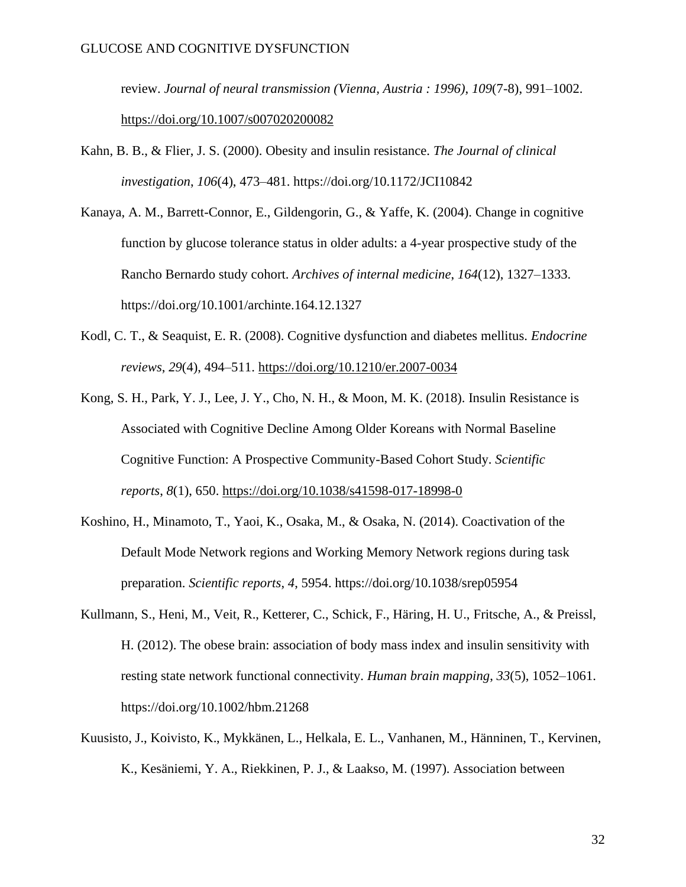review. *Journal of neural transmission (Vienna, Austria : 1996)*, *109*(7-8), 991–1002. <https://doi.org/10.1007/s007020200082>

- Kahn, B. B., & Flier, J. S. (2000). Obesity and insulin resistance. *The Journal of clinical investigation*, *106*(4), 473–481. https://doi.org/10.1172/JCI10842
- Kanaya, A. M., Barrett-Connor, E., Gildengorin, G., & Yaffe, K. (2004). Change in cognitive function by glucose tolerance status in older adults: a 4-year prospective study of the Rancho Bernardo study cohort. *Archives of internal medicine*, *164*(12), 1327–1333. https://doi.org/10.1001/archinte.164.12.1327
- Kodl, C. T., & Seaquist, E. R. (2008). Cognitive dysfunction and diabetes mellitus. *Endocrine reviews*, *29*(4), 494–511.<https://doi.org/10.1210/er.2007-0034>
- Kong, S. H., Park, Y. J., Lee, J. Y., Cho, N. H., & Moon, M. K. (2018). Insulin Resistance is Associated with Cognitive Decline Among Older Koreans with Normal Baseline Cognitive Function: A Prospective Community-Based Cohort Study. *Scientific reports*, *8*(1), 650.<https://doi.org/10.1038/s41598-017-18998-0>
- Koshino, H., Minamoto, T., Yaoi, K., Osaka, M., & Osaka, N. (2014). Coactivation of the Default Mode Network regions and Working Memory Network regions during task preparation. *Scientific reports*, *4*, 5954. https://doi.org/10.1038/srep05954
- Kullmann, S., Heni, M., Veit, R., Ketterer, C., Schick, F., Häring, H. U., Fritsche, A., & Preissl, H. (2012). The obese brain: association of body mass index and insulin sensitivity with resting state network functional connectivity. *Human brain mapping*, *33*(5), 1052–1061. https://doi.org/10.1002/hbm.21268
- Kuusisto, J., Koivisto, K., Mykkänen, L., Helkala, E. L., Vanhanen, M., Hänninen, T., Kervinen, K., Kesäniemi, Y. A., Riekkinen, P. J., & Laakso, M. (1997). Association between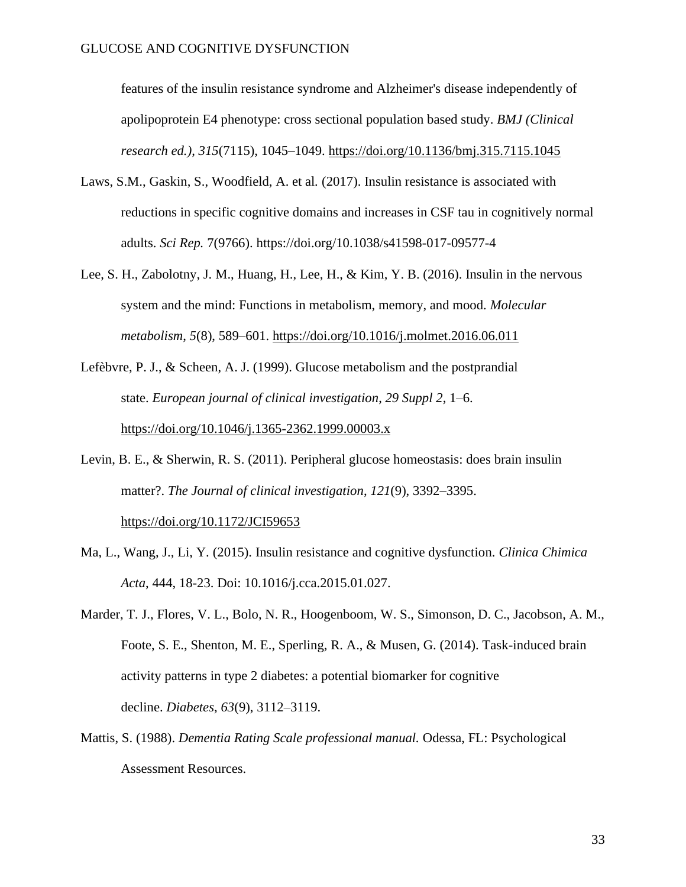features of the insulin resistance syndrome and Alzheimer's disease independently of apolipoprotein E4 phenotype: cross sectional population based study. *BMJ (Clinical research ed.)*, *315*(7115), 1045–1049.<https://doi.org/10.1136/bmj.315.7115.1045>

- Laws, S.M., Gaskin, S., Woodfield, A. et al*.* (2017). Insulin resistance is associated with reductions in specific cognitive domains and increases in CSF tau in cognitively normal adults. *Sci Rep.* 7(9766). https://doi.org/10.1038/s41598-017-09577-4
- Lee, S. H., Zabolotny, J. M., Huang, H., Lee, H., & Kim, Y. B. (2016). Insulin in the nervous system and the mind: Functions in metabolism, memory, and mood. *Molecular metabolism*, *5*(8), 589–601.<https://doi.org/10.1016/j.molmet.2016.06.011>
- Lefèbvre, P. J., & Scheen, A. J. (1999). Glucose metabolism and the postprandial state. *European journal of clinical investigation*, *29 Suppl 2*, 1–6. <https://doi.org/10.1046/j.1365-2362.1999.00003.x>
- Levin, B. E., & Sherwin, R. S. (2011). Peripheral glucose homeostasis: does brain insulin matter?. *The Journal of clinical investigation*, *121*(9), 3392–3395. <https://doi.org/10.1172/JCI59653>
- Ma, L., Wang, J., Li, Y. (2015). Insulin resistance and cognitive dysfunction. *Clinica Chimica Acta*, 444, 18-23. Doi: 10.1016/j.cca.2015.01.027.
- Marder, T. J., Flores, V. L., Bolo, N. R., Hoogenboom, W. S., Simonson, D. C., Jacobson, A. M., Foote, S. E., Shenton, M. E., Sperling, R. A., & Musen, G. (2014). Task-induced brain activity patterns in type 2 diabetes: a potential biomarker for cognitive decline. *Diabetes*, *63*(9), 3112–3119.
- Mattis, S. (1988). *Dementia Rating Scale professional manual.* Odessa, FL: Psychological Assessment Resources.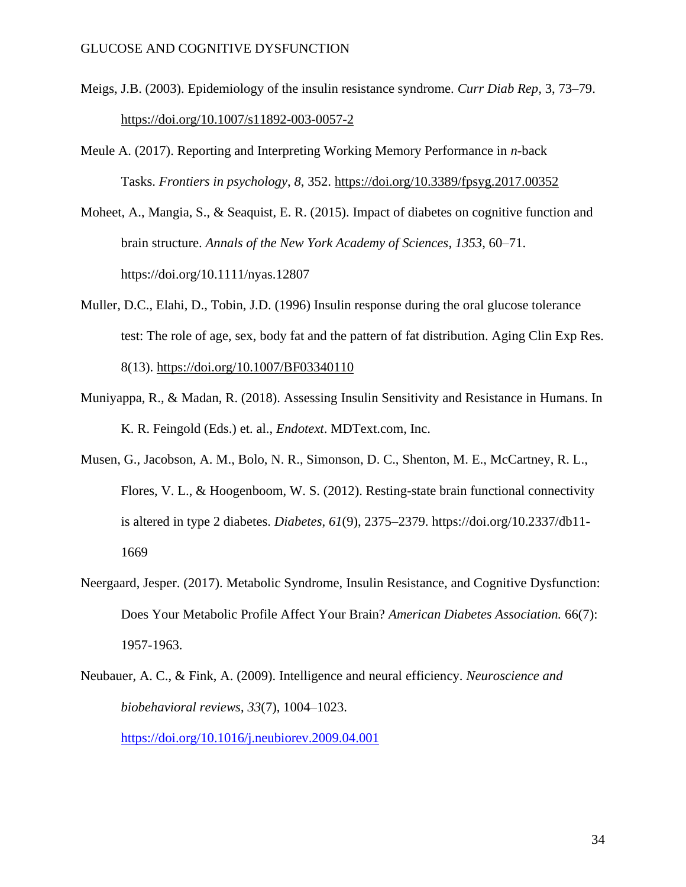- Meigs, J.B. (2003). Epidemiology of the insulin resistance syndrome. *Curr Diab Rep,* 3, 73–79. <https://doi.org/10.1007/s11892-003-0057-2>
- Meule A. (2017). Reporting and Interpreting Working Memory Performance in *n*-back Tasks. *Frontiers in psychology*, *8*, 352.<https://doi.org/10.3389/fpsyg.2017.00352>
- Moheet, A., Mangia, S., & Seaquist, E. R. (2015). Impact of diabetes on cognitive function and brain structure. *Annals of the New York Academy of Sciences*, *1353*, 60–71. https://doi.org/10.1111/nyas.12807
- Muller, D.C., Elahi, D., Tobin, J.D. (1996) Insulin response during the oral glucose tolerance test: The role of age, sex, body fat and the pattern of fat distribution. Aging Clin Exp Res. 8(13).<https://doi.org/10.1007/BF03340110>
- Muniyappa, R., & Madan, R. (2018). Assessing Insulin Sensitivity and Resistance in Humans. In K. R. Feingold (Eds.) et. al., *Endotext*. MDText.com, Inc.
- Musen, G., Jacobson, A. M., Bolo, N. R., Simonson, D. C., Shenton, M. E., McCartney, R. L., Flores, V. L., & Hoogenboom, W. S. (2012). Resting-state brain functional connectivity is altered in type 2 diabetes. *Diabetes*, *61*(9), 2375–2379. https://doi.org/10.2337/db11- 1669
- Neergaard, Jesper. (2017). Metabolic Syndrome, Insulin Resistance, and Cognitive Dysfunction: Does Your Metabolic Profile Affect Your Brain? *American Diabetes Association.* 66(7): 1957-1963.
- Neubauer, A. C., & Fink, A. (2009). Intelligence and neural efficiency. *Neuroscience and biobehavioral reviews*, *33*(7), 1004–1023.

<https://doi.org/10.1016/j.neubiorev.2009.04.001>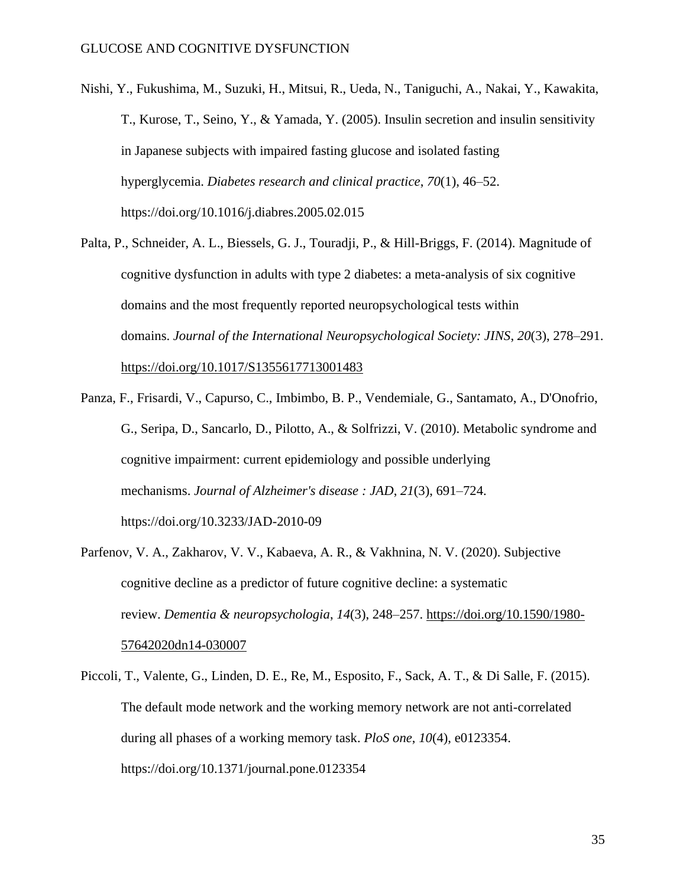- Nishi, Y., Fukushima, M., Suzuki, H., Mitsui, R., Ueda, N., Taniguchi, A., Nakai, Y., Kawakita, T., Kurose, T., Seino, Y., & Yamada, Y. (2005). Insulin secretion and insulin sensitivity in Japanese subjects with impaired fasting glucose and isolated fasting hyperglycemia. *Diabetes research and clinical practice*, *70*(1), 46–52. https://doi.org/10.1016/j.diabres.2005.02.015
- Palta, P., Schneider, A. L., Biessels, G. J., Touradji, P., & Hill-Briggs, F. (2014). Magnitude of cognitive dysfunction in adults with type 2 diabetes: a meta-analysis of six cognitive domains and the most frequently reported neuropsychological tests within domains. *Journal of the International Neuropsychological Society: JINS*, *20*(3), 278–291. <https://doi.org/10.1017/S1355617713001483>
- Panza, F., Frisardi, V., Capurso, C., Imbimbo, B. P., Vendemiale, G., Santamato, A., D'Onofrio, G., Seripa, D., Sancarlo, D., Pilotto, A., & Solfrizzi, V. (2010). Metabolic syndrome and cognitive impairment: current epidemiology and possible underlying mechanisms. *Journal of Alzheimer's disease : JAD*, *21*(3), 691–724. https://doi.org/10.3233/JAD-2010-09
- Parfenov, V. A., Zakharov, V. V., Kabaeva, A. R., & Vakhnina, N. V. (2020). Subjective cognitive decline as a predictor of future cognitive decline: a systematic review. *Dementia & neuropsychologia*, *14*(3), 248–257. [https://doi.org/10.1590/1980-](https://doi.org/10.1590/1980-57642020dn14-030007) [57642020dn14-030007](https://doi.org/10.1590/1980-57642020dn14-030007)
- Piccoli, T., Valente, G., Linden, D. E., Re, M., Esposito, F., Sack, A. T., & Di Salle, F. (2015). The default mode network and the working memory network are not anti-correlated during all phases of a working memory task. *PloS one*, *10*(4), e0123354. https://doi.org/10.1371/journal.pone.0123354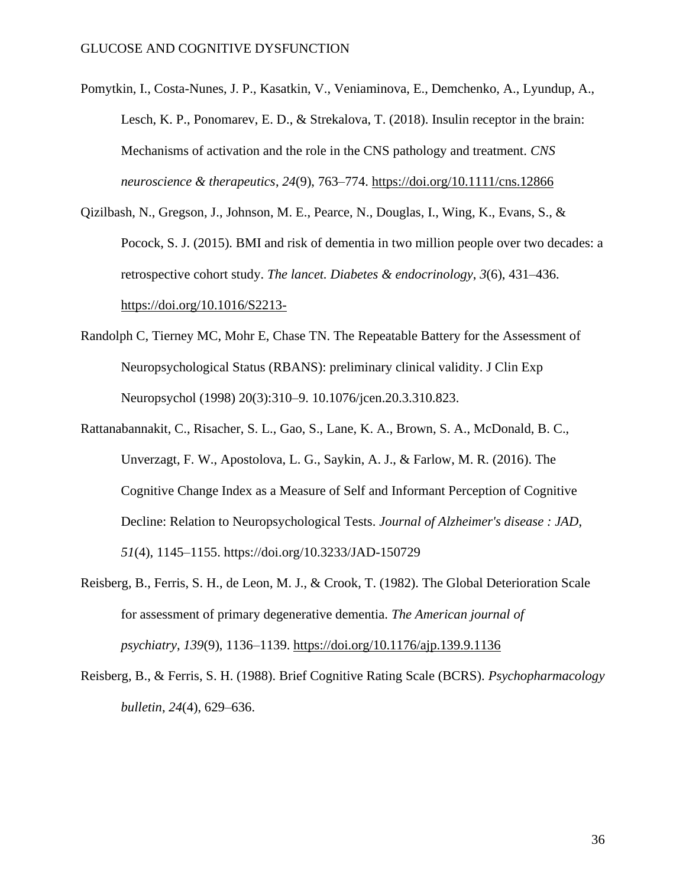- Pomytkin, I., Costa-Nunes, J. P., Kasatkin, V., Veniaminova, E., Demchenko, A., Lyundup, A., Lesch, K. P., Ponomarev, E. D., & Strekalova, T. (2018). Insulin receptor in the brain: Mechanisms of activation and the role in the CNS pathology and treatment. *CNS neuroscience & therapeutics*, *24*(9), 763–774.<https://doi.org/10.1111/cns.12866>
- Qizilbash, N., Gregson, J., Johnson, M. E., Pearce, N., Douglas, I., Wing, K., Evans, S., & Pocock, S. J. (2015). BMI and risk of dementia in two million people over two decades: a retrospective cohort study. *The lancet. Diabetes & endocrinology*, *3*(6), 431–436. <https://doi.org/10.1016/S2213->
- Randolph C, Tierney MC, Mohr E, Chase TN. The Repeatable Battery for the Assessment of Neuropsychological Status (RBANS): preliminary clinical validity. J Clin Exp Neuropsychol (1998) 20(3):310–9. 10.1076/jcen.20.3.310.823.
- Rattanabannakit, C., Risacher, S. L., Gao, S., Lane, K. A., Brown, S. A., McDonald, B. C., Unverzagt, F. W., Apostolova, L. G., Saykin, A. J., & Farlow, M. R. (2016). The Cognitive Change Index as a Measure of Self and Informant Perception of Cognitive Decline: Relation to Neuropsychological Tests. *Journal of Alzheimer's disease : JAD*, *51*(4), 1145–1155. https://doi.org/10.3233/JAD-150729
- Reisberg, B., Ferris, S. H., de Leon, M. J., & Crook, T. (1982). The Global Deterioration Scale for assessment of primary degenerative dementia. *The American journal of psychiatry*, *139*(9), 1136–1139.<https://doi.org/10.1176/ajp.139.9.1136>
- Reisberg, B., & Ferris, S. H. (1988). Brief Cognitive Rating Scale (BCRS). *Psychopharmacology bulletin*, *24*(4), 629–636.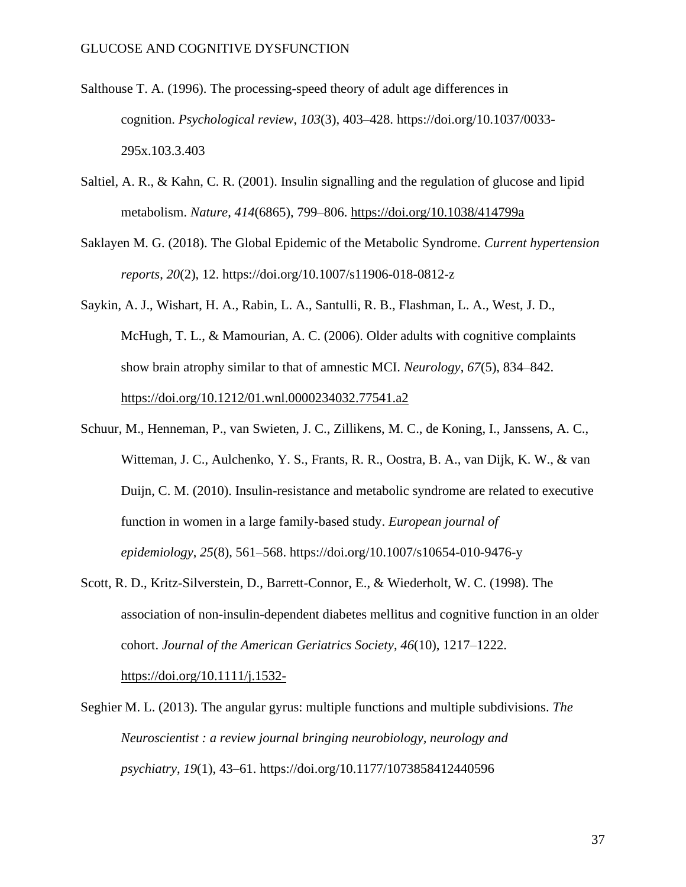- Salthouse T. A. (1996). The processing-speed theory of adult age differences in cognition. *Psychological review*, *103*(3), 403–428. https://doi.org/10.1037/0033- 295x.103.3.403
- Saltiel, A. R., & Kahn, C. R. (2001). Insulin signalling and the regulation of glucose and lipid metabolism. *Nature*, *414*(6865), 799–806.<https://doi.org/10.1038/414799a>
- Saklayen M. G. (2018). The Global Epidemic of the Metabolic Syndrome. *Current hypertension reports*, *20*(2), 12. https://doi.org/10.1007/s11906-018-0812-z
- Saykin, A. J., Wishart, H. A., Rabin, L. A., Santulli, R. B., Flashman, L. A., West, J. D., McHugh, T. L., & Mamourian, A. C. (2006). Older adults with cognitive complaints show brain atrophy similar to that of amnestic MCI. *Neurology*, *67*(5), 834–842. <https://doi.org/10.1212/01.wnl.0000234032.77541.a2>
- Schuur, M., Henneman, P., van Swieten, J. C., Zillikens, M. C., de Koning, I., Janssens, A. C., Witteman, J. C., Aulchenko, Y. S., Frants, R. R., Oostra, B. A., van Dijk, K. W., & van Duijn, C. M. (2010). Insulin-resistance and metabolic syndrome are related to executive function in women in a large family-based study. *European journal of epidemiology*, *25*(8), 561–568. https://doi.org/10.1007/s10654-010-9476-y
- Scott, R. D., Kritz-Silverstein, D., Barrett-Connor, E., & Wiederholt, W. C. (1998). The association of non-insulin-dependent diabetes mellitus and cognitive function in an older cohort. *Journal of the American Geriatrics Society*, *46*(10), 1217–1222. <https://doi.org/10.1111/j.1532->
- Seghier M. L. (2013). The angular gyrus: multiple functions and multiple subdivisions. *The Neuroscientist : a review journal bringing neurobiology, neurology and psychiatry*, *19*(1), 43–61. https://doi.org/10.1177/1073858412440596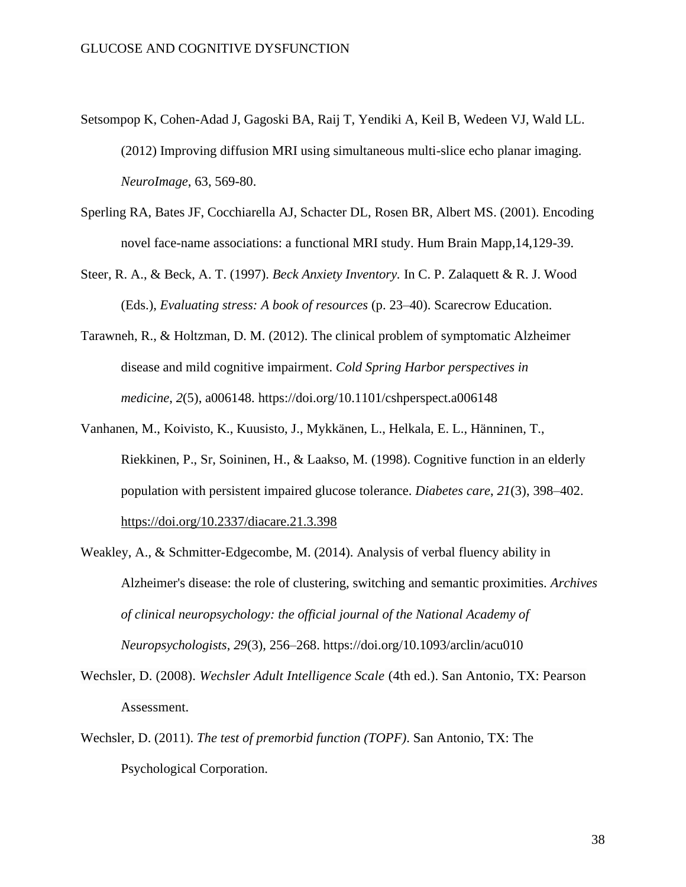- Setsompop K, Cohen-Adad J, Gagoski BA, Raij T, Yendiki A, Keil B, Wedeen VJ, Wald LL. (2012) Improving diffusion MRI using simultaneous multi-slice echo planar imaging. *NeuroImage*, 63, 569-80.
- Sperling RA, Bates JF, Cocchiarella AJ, Schacter DL, Rosen BR, Albert MS. (2001). Encoding novel face-name associations: a functional MRI study. Hum Brain Mapp,14,129-39.
- Steer, R. A., & Beck, A. T. (1997). *Beck Anxiety Inventory.* In C. P. Zalaquett & R. J. Wood (Eds.), *Evaluating stress: A book of resources* (p. 23–40). Scarecrow Education.
- Tarawneh, R., & Holtzman, D. M. (2012). The clinical problem of symptomatic Alzheimer disease and mild cognitive impairment. *Cold Spring Harbor perspectives in medicine*, *2*(5), a006148. https://doi.org/10.1101/cshperspect.a006148
- Vanhanen, M., Koivisto, K., Kuusisto, J., Mykkänen, L., Helkala, E. L., Hänninen, T., Riekkinen, P., Sr, Soininen, H., & Laakso, M. (1998). Cognitive function in an elderly population with persistent impaired glucose tolerance. *Diabetes care*, *21*(3), 398–402. <https://doi.org/10.2337/diacare.21.3.398>
- Weakley, A., & Schmitter-Edgecombe, M. (2014). Analysis of verbal fluency ability in Alzheimer's disease: the role of clustering, switching and semantic proximities. *Archives of clinical neuropsychology: the official journal of the National Academy of Neuropsychologists*, *29*(3), 256–268. https://doi.org/10.1093/arclin/acu010
- Wechsler, D. (2008). *Wechsler Adult Intelligence Scale* (4th ed.). San Antonio, TX: Pearson Assessment.
- Wechsler, D. (2011). *The test of premorbid function (TOPF)*. San Antonio, TX: The Psychological Corporation.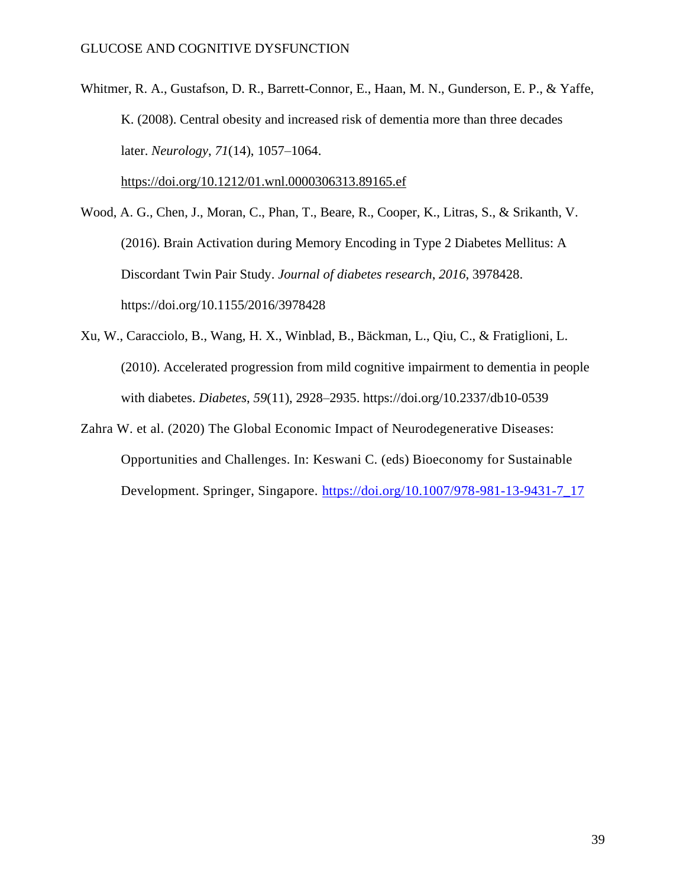Whitmer, R. A., Gustafson, D. R., Barrett-Connor, E., Haan, M. N., Gunderson, E. P., & Yaffe, K. (2008). Central obesity and increased risk of dementia more than three decades later. *Neurology*, *71*(14), 1057–1064.

<https://doi.org/10.1212/01.wnl.0000306313.89165.ef>

Wood, A. G., Chen, J., Moran, C., Phan, T., Beare, R., Cooper, K., Litras, S., & Srikanth, V. (2016). Brain Activation during Memory Encoding in Type 2 Diabetes Mellitus: A Discordant Twin Pair Study. *Journal of diabetes research*, *2016*, 3978428. https://doi.org/10.1155/2016/3978428

- Xu, W., Caracciolo, B., Wang, H. X., Winblad, B., Bäckman, L., Qiu, C., & Fratiglioni, L. (2010). Accelerated progression from mild cognitive impairment to dementia in people with diabetes. *Diabetes*, *59*(11), 2928–2935. https://doi.org/10.2337/db10-0539
- Zahra W. et al. (2020) The Global Economic Impact of Neurodegenerative Diseases: Opportunities and Challenges. In: Keswani C. (eds) Bioeconomy for Sustainable Development. Springer, Singapore. [https://doi.org/10.1007/978-981-13-9431-7\\_17](https://doi.org/10.1007/978-981-13-9431-7_17)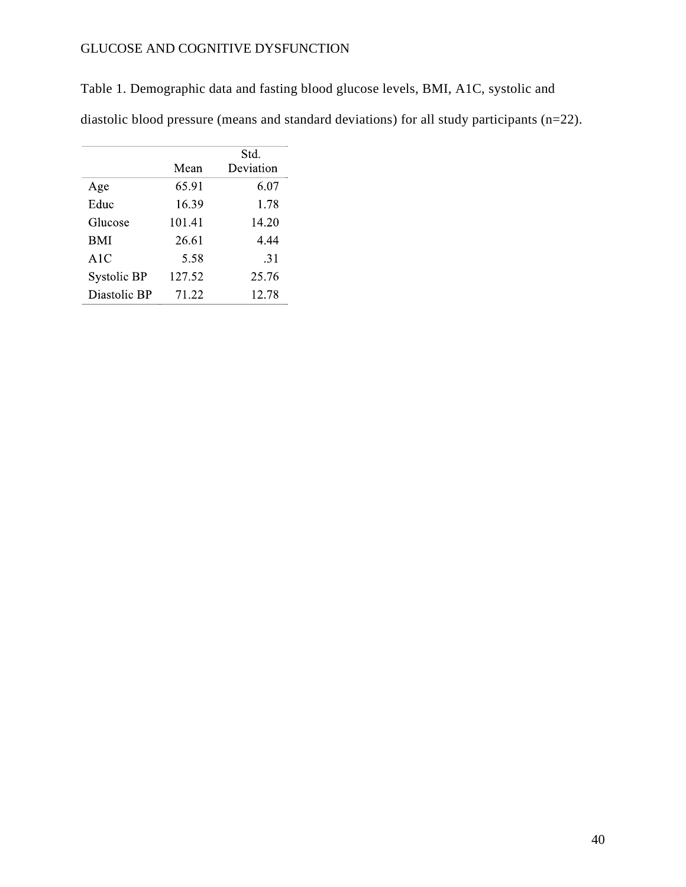Table 1. Demographic data and fasting blood glucose levels, BMI, A1C, systolic and

diastolic blood pressure (means and standard deviations) for all study participants (n=22).

|              |        | Std.      |
|--------------|--------|-----------|
|              | Mean   | Deviation |
| Age          | 65.91  | 6.07      |
| Educ         | 16.39  | 1.78      |
| Glucose      | 101.41 | 14.20     |
| <b>BMI</b>   | 26.61  | 4.44      |
| A1C          | 5.58   | .31       |
| Systolic BP  | 127.52 | 25.76     |
| Diastolic BP | 71.22  | 12.78     |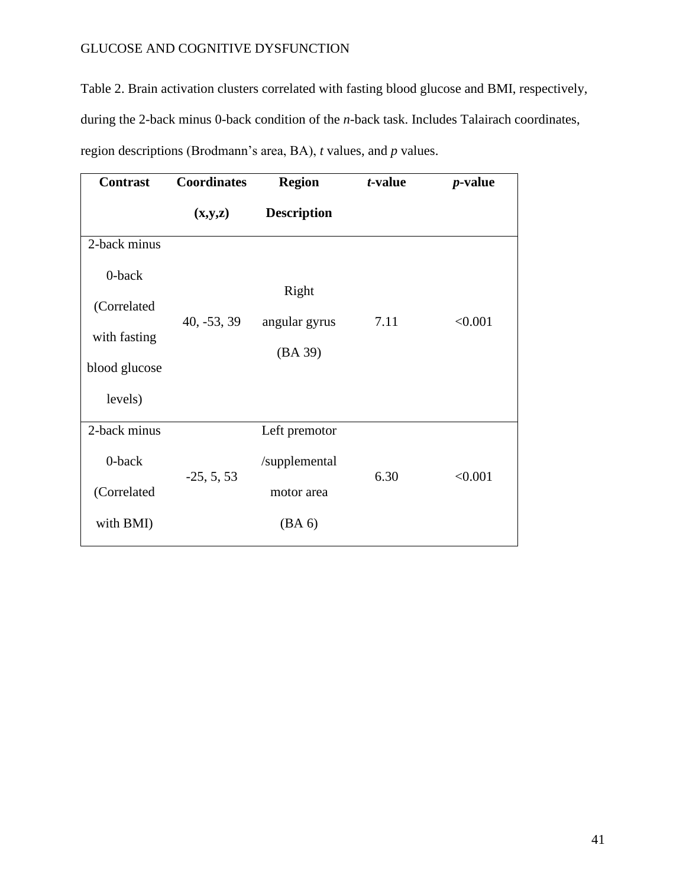Table 2. Brain activation clusters correlated with fasting blood glucose and BMI, respectively, during the 2-back minus 0-back condition of the *n*-back task. Includes Talairach coordinates, region descriptions (Brodmann's area, BA), *t* values, and *p* values.

| <b>Contrast</b> | <b>Coordinates</b> | <b>Region</b>      | t-value | <i>p</i> -value |
|-----------------|--------------------|--------------------|---------|-----------------|
|                 | (x,y,z)            | <b>Description</b> |         |                 |
| 2-back minus    |                    |                    |         |                 |
| 0-back          |                    |                    |         |                 |
|                 |                    | Right              |         |                 |
| (Correlated     | $40, -53, 39$      | angular gyrus      | 7.11    | < 0.001         |
| with fasting    |                    |                    |         |                 |
|                 |                    | (BA 39)            |         |                 |
| blood glucose   |                    |                    |         |                 |
| levels)         |                    |                    |         |                 |
| 2-back minus    |                    | Left premotor      |         |                 |
| 0-back          | $-25, 5, 53$       | /supplemental      | 6.30    | < 0.001         |
| (Correlated     |                    | motor area         |         |                 |
| with BMI)       |                    | (BA 6)             |         |                 |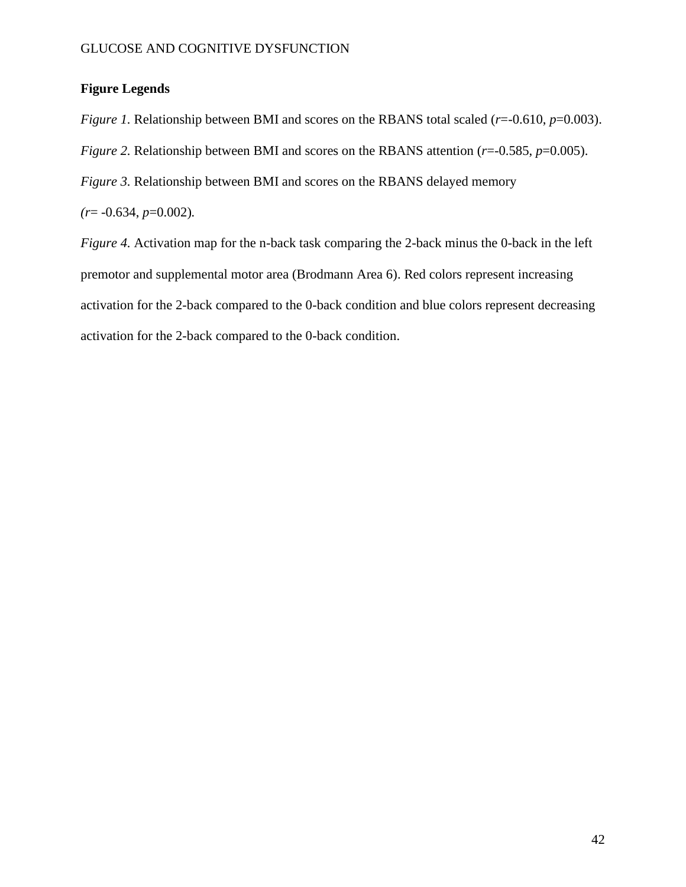## **Figure Legends**

*Figure 1.* Relationship between BMI and scores on the RBANS total scaled ( $r=0.610, p=0.003$ ). *Figure 2.* Relationship between BMI and scores on the RBANS attention ( $r=0.585$ ,  $p=0.005$ ).

*Figure 3.* Relationship between BMI and scores on the RBANS delayed memory

*(r*= -0.634, *p*=0.002)*.*

*Figure 4.* Activation map for the n-back task comparing the 2-back minus the 0-back in the left premotor and supplemental motor area (Brodmann Area 6). Red colors represent increasing activation for the 2-back compared to the 0-back condition and blue colors represent decreasing activation for the 2-back compared to the 0-back condition.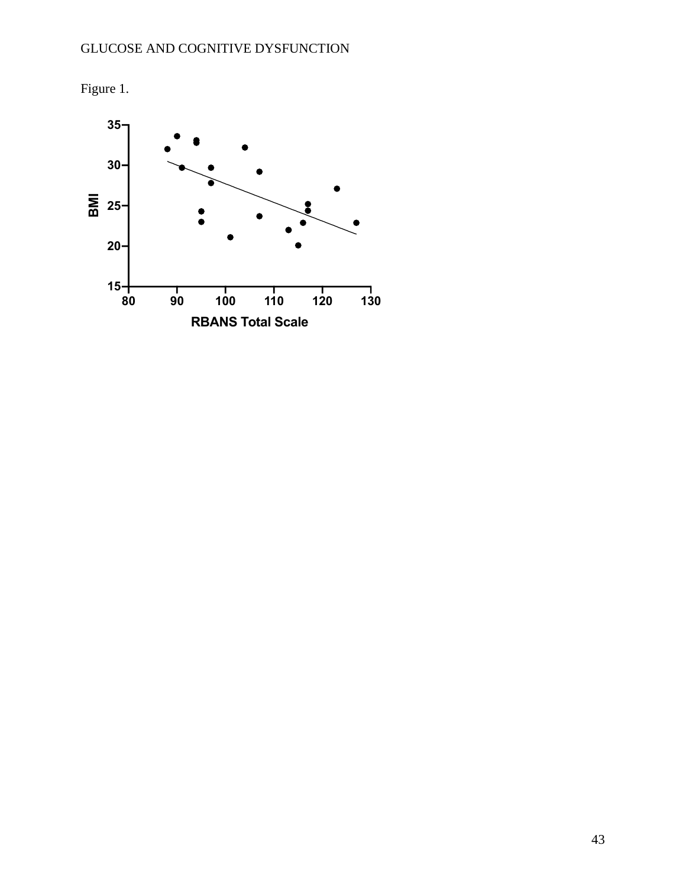

Figure 1.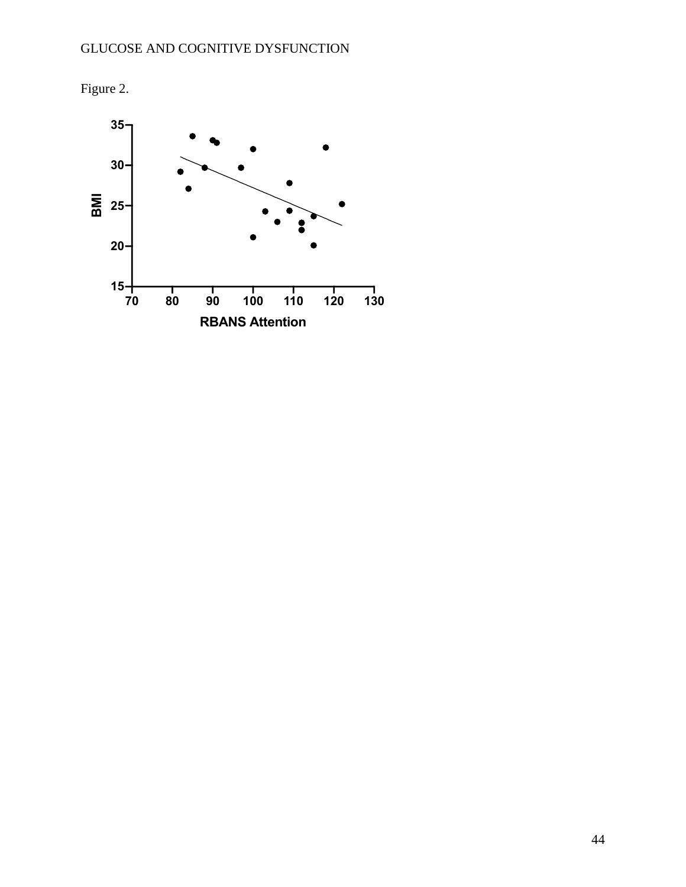

Figure 2.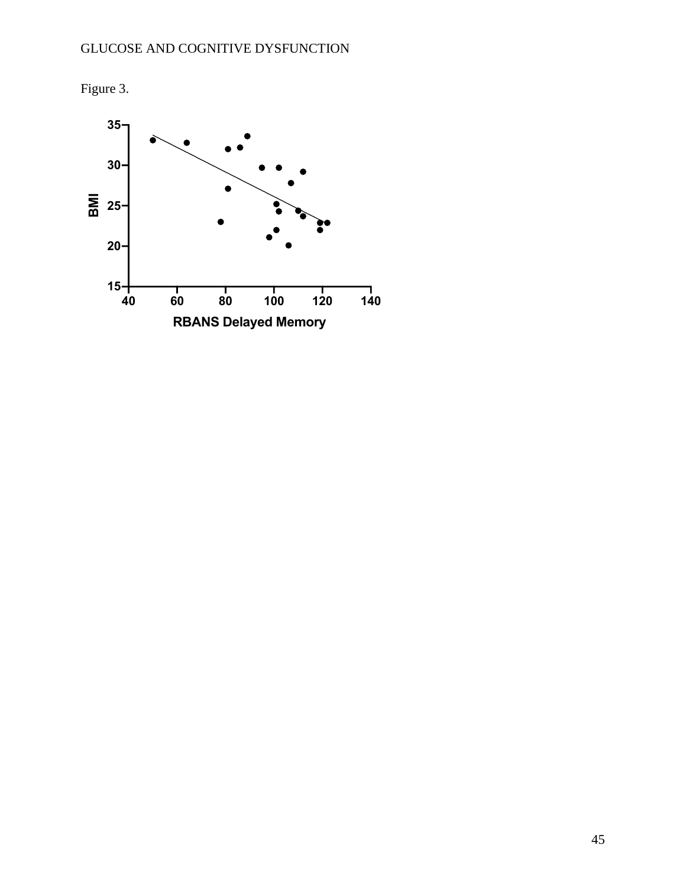